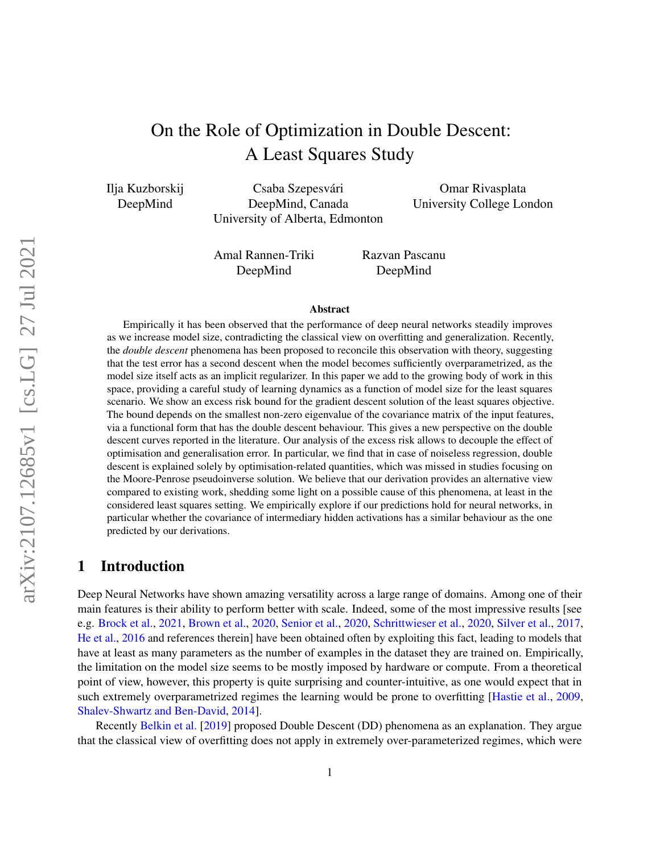# On the Role of Optimization in Double Descent: A Least Squares Study

Ilja Kuzborskij DeepMind

Csaba Szepesvári DeepMind, Canada University of Alberta, Edmonton

Omar Rivasplata University College London

Amal Rannen-Triki DeepMind

Razvan Pascanu DeepMind

#### Abstract

Empirically it has been observed that the performance of deep neural networks steadily improves as we increase model size, contradicting the classical view on overfitting and generalization. Recently, the *double descent* phenomena has been proposed to reconcile this observation with theory, suggesting that the test error has a second descent when the model becomes sufficiently overparametrized, as the model size itself acts as an implicit regularizer. In this paper we add to the growing body of work in this space, providing a careful study of learning dynamics as a function of model size for the least squares scenario. We show an excess risk bound for the gradient descent solution of the least squares objective. The bound depends on the smallest non-zero eigenvalue of the covariance matrix of the input features, via a functional form that has the double descent behaviour. This gives a new perspective on the double descent curves reported in the literature. Our analysis of the excess risk allows to decouple the effect of optimisation and generalisation error. In particular, we find that in case of noiseless regression, double descent is explained solely by optimisation-related quantities, which was missed in studies focusing on the Moore-Penrose pseudoinverse solution. We believe that our derivation provides an alternative view compared to existing work, shedding some light on a possible cause of this phenomena, at least in the considered least squares setting. We empirically explore if our predictions hold for neural networks, in particular whether the covariance of intermediary hidden activations has a similar behaviour as the one predicted by our derivations.

### 1 Introduction

Deep Neural Networks have shown amazing versatility across a large range of domains. Among one of their main features is their ability to perform better with scale. Indeed, some of the most impressive results [see e.g. [Brock et al.,](#page-11-0) [2021,](#page-11-0) [Brown et al.,](#page-11-1) [2020,](#page-11-1) [Senior et al.,](#page-11-2) [2020,](#page-11-2) [Schrittwieser et al.,](#page-11-3) [2020,](#page-11-3) [Silver et al.,](#page-11-4) [2017,](#page-11-4) [He et al.,](#page-12-0) [2016](#page-12-0) and references therein] have been obtained often by exploiting this fact, leading to models that have at least as many parameters as the number of examples in the dataset they are trained on. Empirically, the limitation on the model size seems to be mostly imposed by hardware or compute. From a theoretical point of view, however, this property is quite surprising and counter-intuitive, as one would expect that in such extremely overparametrized regimes the learning would be prone to overfitting [\[Hastie et al.,](#page-12-1) [2009,](#page-12-1) [Shalev-Shwartz and Ben-David,](#page-12-2) [2014\]](#page-12-2).

Recently [Belkin et al.](#page-12-3) [\[2019\]](#page-12-3) proposed Double Descent (DD) phenomena as an explanation. They argue that the classical view of overfitting does not apply in extremely over-parameterized regimes, which were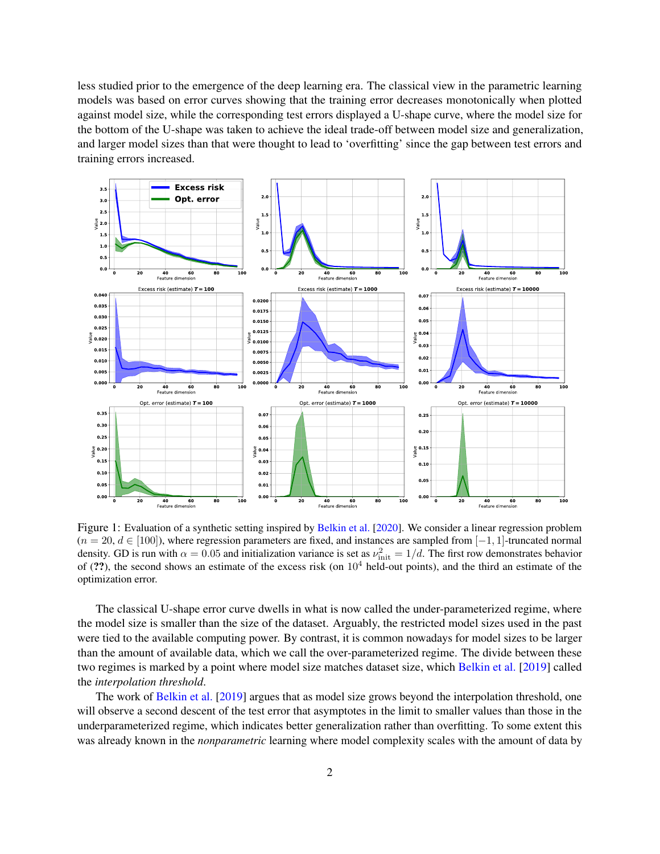less studied prior to the emergence of the deep learning era. The classical view in the parametric learning models was based on error curves showing that the training error decreases monotonically when plotted against model size, while the corresponding test errors displayed a U-shape curve, where the model size for the bottom of the U-shape was taken to achieve the ideal trade-off between model size and generalization, and larger model sizes than that were thought to lead to 'overfitting' since the gap between test errors and training errors increased.



<span id="page-1-0"></span>Figure 1: Evaluation of a synthetic setting inspired by [Belkin et al.](#page-12-4) [\[2020\]](#page-12-4). We consider a linear regression problem  $(n = 20, d \in [100])$ , where regression parameters are fixed, and instances are sampled from  $[-1, 1]$ -truncated normal density. GD is run with  $\alpha = 0.05$  and initialization variance is set as  $\nu_{\rm init}^2 = 1/d$ . The first row demonstrates behavior of (??), the second shows an estimate of the excess risk (on  $10<sup>4</sup>$  held-out points), and the third an estimate of the optimization error.

The classical U-shape error curve dwells in what is now called the under-parameterized regime, where the model size is smaller than the size of the dataset. Arguably, the restricted model sizes used in the past were tied to the available computing power. By contrast, it is common nowadays for model sizes to be larger than the amount of available data, which we call the over-parameterized regime. The divide between these two regimes is marked by a point where model size matches dataset size, which [Belkin et al.](#page-12-3) [\[2019\]](#page-12-3) called the *interpolation threshold*.

The work of [Belkin et al.](#page-12-3) [\[2019\]](#page-12-3) argues that as model size grows beyond the interpolation threshold, one will observe a second descent of the test error that asymptotes in the limit to smaller values than those in the underparameterized regime, which indicates better generalization rather than overfitting. To some extent this was already known in the *nonparametric* learning where model complexity scales with the amount of data by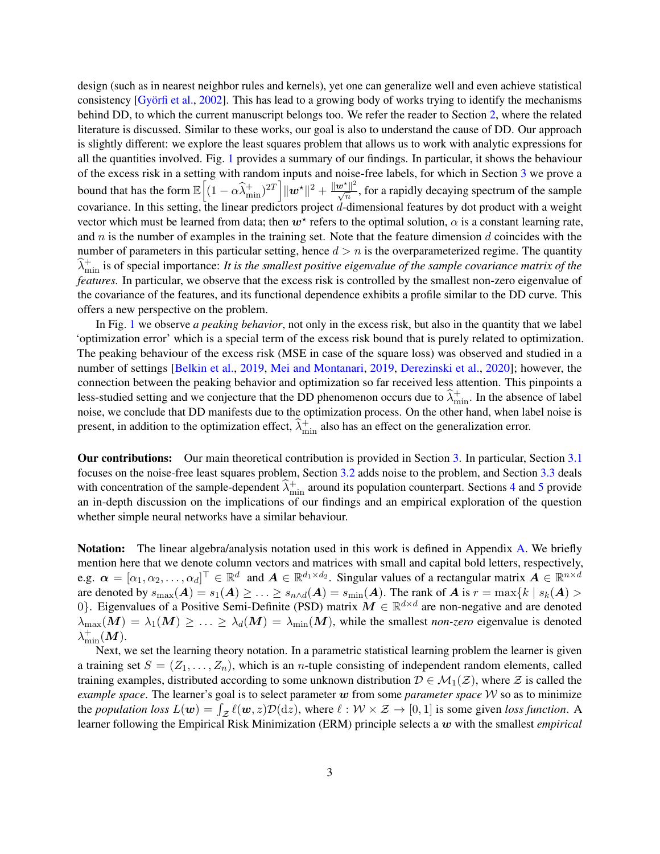design (such as in nearest neighbor rules and kernels), yet one can generalize well and even achieve statistical consistency [\[Györfi et al.,](#page-12-5) [2002\]](#page-12-5). This has lead to a growing body of works trying to identify the mechanisms behind DD, to which the current manuscript belongs too. We refer the reader to Section [2,](#page-3-0) where the related literature is discussed. Similar to these works, our goal is also to understand the cause of DD. Our approach is slightly different: we explore the least squares problem that allows us to work with analytic expressions for all the quantities involved. Fig. [1](#page-1-0) provides a summary of our findings. In particular, it shows the behaviour of the excess risk in a setting with random inputs and noise-free labels, for which in Section [3](#page-3-1) we prove a bound that has the form  $\mathbb{E}\left[(1-\alpha\widehat{\lambda}_{\min}^+)^{2T}\right]||\boldsymbol{w}^{\star}||^2 + \frac{\|\boldsymbol{w}^{\star}\|^2}{\sqrt{n}}$ , for a rapidly decaying spectrum of the sample covariance. In this setting, the linear predictors project d-dimensional features by dot product with a weight vector which must be learned from data; then  $w^*$  refers to the optimal solution,  $\alpha$  is a constant learning rate, and  $n$  is the number of examples in the training set. Note that the feature dimension  $d$  coincides with the number of parameters in this particular setting, hence  $d > n$  is the overparameterized regime. The quantity  $\widehat{\lambda}_{\min}^+$  is of special importance: *It is the smallest positive eigenvalue of the sample covariance matrix of the features.* In particular, we observe that the excess risk is controlled by the smallest non-zero eigenvalue of the covariance of the features, and its functional dependence exhibits a profile similar to the DD curve. This offers a new perspective on the problem.

In Fig. [1](#page-1-0) we observe *a peaking behavior*, not only in the excess risk, but also in the quantity that we label 'optimization error' which is a special term of the excess risk bound that is purely related to optimization. The peaking behaviour of the excess risk (MSE in case of the square loss) was observed and studied in a number of settings [\[Belkin et al.,](#page-12-3) [2019,](#page-12-3) [Mei and Montanari,](#page-12-6) [2019,](#page-12-6) [Derezinski et al.,](#page-12-7) [2020\]](#page-12-7); however, the connection between the peaking behavior and optimization so far received less attention. This pinpoints a less-studied setting and we conjecture that the DD phenomenon occurs due to  $\hat{\lambda}_{\min}^+$ . In the absence of label noise, we conclude that DD manifests due to the optimization process. On the other hand, when label noise is present, in addition to the optimization effect,  $\hat{\lambda}_{\min}^+$  also has an effect on the generalization error.

Our contributions: Our main theoretical contribution is provided in Section [3.](#page-3-1) In particular, Section [3.1](#page-5-0) focuses on the noise-free least squares problem, Section [3.2](#page-6-0) adds noise to the problem, and Section [3.3](#page-6-1) deals with concentration of the sample-dependent  $\hat{\lambda}_{min}^+$  around its population counterpart. Sections [4](#page-7-0) and [5](#page-8-0) provide an in-depth discussion on the implications of our findings and an empirical exploration of the question whether simple neural networks have a similar behaviour.

Notation: The linear algebra/analysis notation used in this work is defined in Appendix [A.](#page-14-0) We briefly mention here that we denote column vectors and matrices with small and capital bold letters, respectively, e.g.  $\boldsymbol{\alpha} = [\alpha_1, \alpha_2, \dots, \alpha_d]^\top \in \mathbb{R}^d$  and  $\boldsymbol{A} \in \mathbb{R}^{d_1 \times d_2}$ . Singular values of a rectangular matrix  $\boldsymbol{A} \in \mathbb{R}^{n \times d}$ are denoted by  $s_{\max}(A) = s_1(A) \geq \ldots \geq s_{n \wedge d}(A) = s_{\min}(A)$ . The rank of A is  $r = \max\{k \mid s_k(A) >$ 0}. Eigenvalues of a Positive Semi-Definite (PSD) matrix  $M \in \mathbb{R}^{d \times d}$  are non-negative and are denoted  $\lambda_{\max}(M) = \lambda_1(M) \geq \ldots \geq \lambda_d(M) = \lambda_{\min}(M)$ , while the smallest *non-zero* eigenvalue is denoted  $\lambda^+_{\text{min}}(\boldsymbol M).$ 

Next, we set the learning theory notation. In a parametric statistical learning problem the learner is given a training set  $S = (Z_1, \ldots, Z_n)$ , which is an *n*-tuple consisting of independent random elements, called training examples, distributed according to some unknown distribution  $D \in \mathcal{M}_1(\mathcal{Z})$ , where  $\mathcal Z$  is called the *example space*. The learner's goal is to select parameter w from some *parameter space* W so as to minimize the *population loss*  $L(\mathbf{w}) = \int_{\mathcal{Z}} \ell(\mathbf{w}, z) \mathcal{D}(dz)$ , where  $\ell : \mathcal{W} \times \mathcal{Z} \to [0, 1]$  is some given *loss function*. A learner following the Empirical Risk Minimization (ERM) principle selects a w with the smallest *empirical*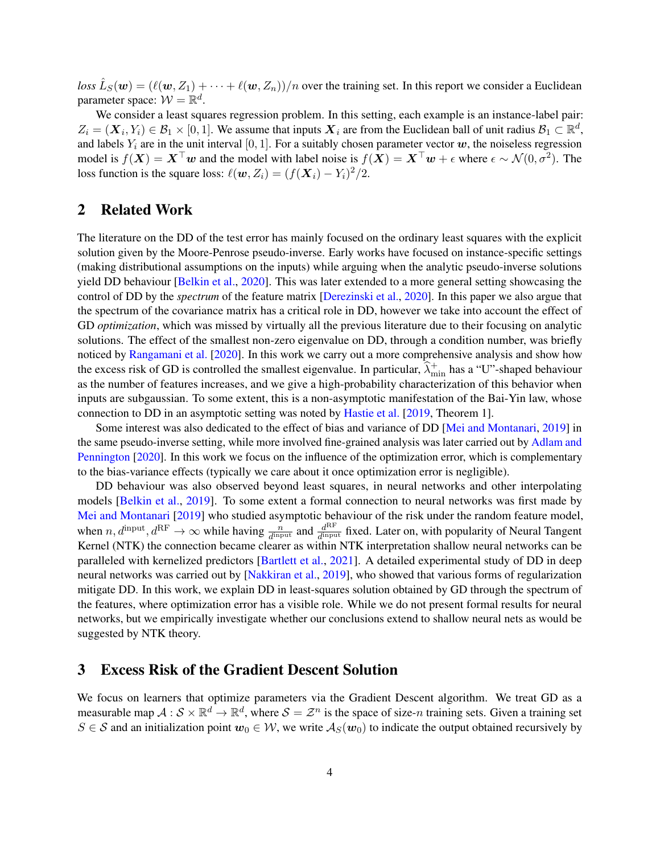$loss \hat{L}_S(w) = (\ell(w, Z_1) + \cdots + \ell(w, Z_n))/n$  over the training set. In this report we consider a Euclidean parameter space:  $W = \mathbb{R}^d$ .

We consider a least squares regression problem. In this setting, each example is an instance-label pair:  $Z_i = (\boldsymbol{X}_i, Y_i) \in \mathcal{B}_1 \times [0, 1]$ . We assume that inputs  $\boldsymbol{X}_i$  are from the Euclidean ball of unit radius  $\mathcal{B}_1 \subset \mathbb{R}^d$ , and labels  $Y_i$  are in the unit interval [0, 1]. For a suitably chosen parameter vector  $w$ , the noiseless regression model is  $f(X) = X^{\top}w$  and the model with label noise is  $f(X) = X^{\top}w + \epsilon$  where  $\epsilon \sim \mathcal{N}(0, \sigma^2)$ . The loss function is the square loss:  $\ell(w, Z_i) = (f(\mathbf{X}_i) - Y_i)^2/2$ .

# <span id="page-3-0"></span>2 Related Work

The literature on the DD of the test error has mainly focused on the ordinary least squares with the explicit solution given by the Moore-Penrose pseudo-inverse. Early works have focused on instance-specific settings (making distributional assumptions on the inputs) while arguing when the analytic pseudo-inverse solutions yield DD behaviour [\[Belkin et al.,](#page-12-4) [2020\]](#page-12-4). This was later extended to a more general setting showcasing the control of DD by the *spectrum* of the feature matrix [\[Derezinski et al.,](#page-12-7) [2020\]](#page-12-7). In this paper we also argue that the spectrum of the covariance matrix has a critical role in DD, however we take into account the effect of GD *optimization*, which was missed by virtually all the previous literature due to their focusing on analytic solutions. The effect of the smallest non-zero eigenvalue on DD, through a condition number, was briefly noticed by [Rangamani et al.](#page-12-8) [\[2020\]](#page-12-8). In this work we carry out a more comprehensive analysis and show how the excess risk of GD is controlled the smallest eigenvalue. In particular,  $\hat{\lambda}^+_{\text{min}}$  has a "U"-shaped behaviour as the number of features increases, and we give a high-probability characterization of this behavior when inputs are subgaussian. To some extent, this is a non-asymptotic manifestation of the Bai-Yin law, whose connection to DD in an asymptotic setting was noted by [Hastie et al.](#page-12-9) [\[2019,](#page-12-9) Theorem 1].

Some interest was also dedicated to the effect of bias and variance of DD [\[Mei and Montanari,](#page-12-6) [2019\]](#page-12-6) in the same pseudo-inverse setting, while more involved fine-grained analysis was later carried out by [Adlam and](#page-12-10) [Pennington](#page-12-10) [\[2020\]](#page-12-10). In this work we focus on the influence of the optimization error, which is complementary to the bias-variance effects (typically we care about it once optimization error is negligible).

DD behaviour was also observed beyond least squares, in neural networks and other interpolating models [\[Belkin et al.,](#page-12-3) [2019\]](#page-12-3). To some extent a formal connection to neural networks was first made by [Mei and Montanari](#page-12-6) [\[2019\]](#page-12-6) who studied asymptotic behaviour of the risk under the random feature model, when  $n, d^{\text{input}}, d^{\text{RF}} \to \infty$  while having  $\frac{n}{d^{\text{input}}}$  and  $\frac{d^{\text{RF}}}{d^{\text{input}}}$  $\frac{d^{(1)}(t)}{d^{(2)}(t)}$  fixed. Later on, with popularity of Neural Tangent Kernel (NTK) the connection became clearer as within NTK interpretation shallow neural networks can be paralleled with kernelized predictors [\[Bartlett et al.,](#page-12-11) [2021\]](#page-12-11). A detailed experimental study of DD in deep neural networks was carried out by [\[Nakkiran et al.,](#page-12-12) [2019\]](#page-12-12), who showed that various forms of regularization mitigate DD. In this work, we explain DD in least-squares solution obtained by GD through the spectrum of the features, where optimization error has a visible role. While we do not present formal results for neural networks, but we empirically investigate whether our conclusions extend to shallow neural nets as would be suggested by NTK theory.

# <span id="page-3-1"></span>3 Excess Risk of the Gradient Descent Solution

We focus on learners that optimize parameters via the Gradient Descent algorithm. We treat GD as a measurable map  $A: S \times \mathbb{R}^d \to \mathbb{R}^d$ , where  $S = \mathcal{Z}^n$  is the space of size-n training sets. Given a training set  $S \in \mathcal{S}$  and an initialization point  $w_0 \in \mathcal{W}$ , we write  $\mathcal{A}_S(w_0)$  to indicate the output obtained recursively by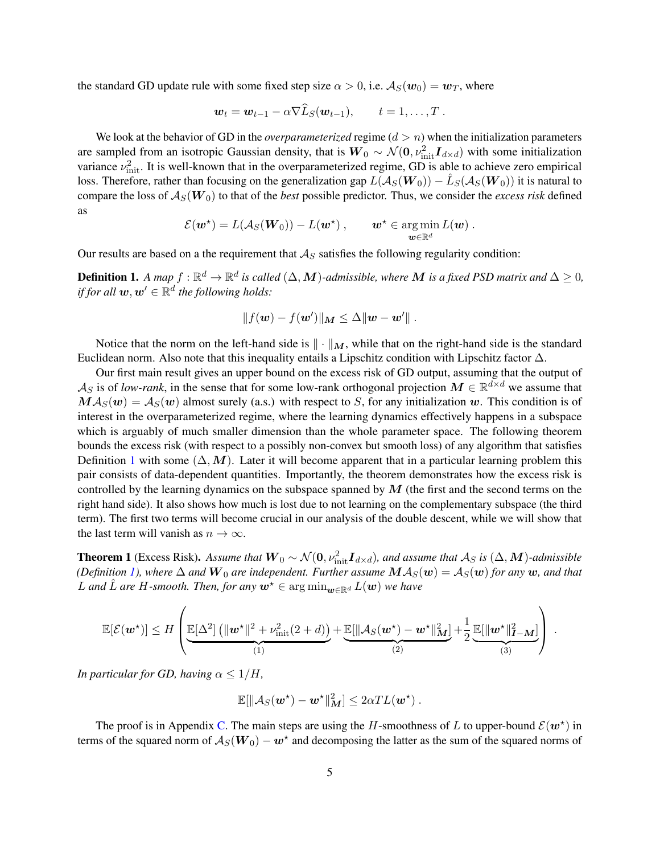the standard GD update rule with some fixed step size  $\alpha > 0$ , i.e.  $A_S(w_0) = w_T$ , where

$$
\mathbf{w}_t = \mathbf{w}_{t-1} - \alpha \nabla L_S(\mathbf{w}_{t-1}), \qquad t = 1, \ldots, T.
$$

We look at the behavior of GD in the *overparameterized* regime  $(d > n)$  when the initialization parameters are sampled from an isotropic Gaussian density, that is  $W_0 \sim \mathcal{N}(0, \nu_{\rm init}^2 \bm{I}_{d \times d})$  with some initialization variance  $\nu_{\text{init}}^2$ . It is well-known that in the overparameterized regime, GD is able to achieve zero empirical loss. Therefore, rather than focusing on the generalization gap  $L(A_S(W_0)) - \hat{L}_S(A_S(W_0))$  it is natural to compare the loss of  $A_S(W_0)$  to that of the *best* possible predictor. Thus, we consider the *excess risk* defined as

$$
\mathcal{E}(\boldsymbol{w}^{\star}) = L(\mathcal{A}_S(\boldsymbol{W}_0)) - L(\boldsymbol{w}^{\star}), \qquad \boldsymbol{w}^{\star} \in \argmin_{\boldsymbol{w} \in \mathbb{R}^d} L(\boldsymbol{w}) .
$$

Our results are based on a the requirement that  $A<sub>S</sub>$  satisfies the following regularity condition:

<span id="page-4-0"></span>**Definition 1.** A map  $f : \mathbb{R}^d \to \mathbb{R}^d$  is called  $(\Delta, M)$ -admissible, where M is a fixed PSD matrix and  $\Delta \geq 0$ , *if for all*  $w, w' \in \mathbb{R}^d$  the following holds:

$$
||f(\mathbf{w}) - f(\mathbf{w}')||_{\mathbf{M}} \leq \Delta ||\mathbf{w} - \mathbf{w}'||.
$$

Notice that the norm on the left-hand side is  $\|\cdot\|_M$ , while that on the right-hand side is the standard Euclidean norm. Also note that this inequality entails a Lipschitz condition with Lipschitz factor  $\Delta$ .

Our first main result gives an upper bound on the excess risk of GD output, assuming that the output of  $\mathcal{A}_S$  is of *low-rank*, in the sense that for some low-rank orthogonal projection  $M \in \mathbb{R}^{d \times d}$  we assume that  $M\mathcal{A}_S(w) = \mathcal{A}_S(w)$  almost surely (a.s.) with respect to S, for any initialization w. This condition is of interest in the overparameterized regime, where the learning dynamics effectively happens in a subspace which is arguably of much smaller dimension than the whole parameter space. The following theorem bounds the excess risk (with respect to a possibly non-convex but smooth loss) of any algorithm that satisfies Definition [1](#page-4-0) with some  $(\Delta, M)$ . Later it will become apparent that in a particular learning problem this pair consists of data-dependent quantities. Importantly, the theorem demonstrates how the excess risk is controlled by the learning dynamics on the subspace spanned by  $M$  (the first and the second terms on the right hand side). It also shows how much is lost due to not learning on the complementary subspace (the third term). The first two terms will become crucial in our analysis of the double descent, while we will show that the last term will vanish as  $n \to \infty$ .

<span id="page-4-1"></span>**Theorem 1** (Excess Risk). Assume that  $W_0 \sim \mathcal{N}(0, \nu_{\text{init}}^2 \bm{I}_{d \times d})$ , and assume that  $\mathcal{A}_S$  is  $(\Delta, \bm{M})$ -admissible *(Definition [1\)](#page-4-0), where*  $\Delta$  *and*  $\bm{W}_0$  *are independent. Further assume*  $\bm{M}\mathcal{A}_S(\bm{w}) = \mathcal{A}_S(\bm{w})$  *for any*  $\bm{w}$ *, and that* L and L are H-smooth. Then, for any  $w^*$  ∈ arg min<sub>w∈Rd</sub> L(w) we have

$$
\mathbb{E}[\mathcal{E}(\boldsymbol{w}^{\star})] \leq H\left(\underbrace{\mathbb{E}[\Delta^2] \left(\|\boldsymbol{w}^{\star}\|^2 + \nu_{\text{init}}^2(2+d)\right)}_{(1)} + \underbrace{\mathbb{E}[\|\mathcal{A}_S(\boldsymbol{w}^{\star}) - \boldsymbol{w}^{\star}\|_M^2]}_{(2)} + \frac{1}{2} \underbrace{\mathbb{E}[\|\boldsymbol{w}^{\star}\|_{I-M}^2]}_{(3)}\right) .
$$

*In particular for GD, having*  $\alpha \leq 1/H$ ,

$$
\mathbb{E}[\|\mathcal{A}_S(\mathbf{w}^*) - \mathbf{w}^*\|_M^2] \leq 2\alpha T L(\mathbf{w}^*) .
$$

The proof is in Appendix [C.](#page-15-0) The main steps are using the H-smoothness of L to upper-bound  $\mathcal{E}(w^*)$  in terms of the squared norm of  $A_S(W_0) - \bm{w}^*$  and decomposing the latter as the sum of the squared norms of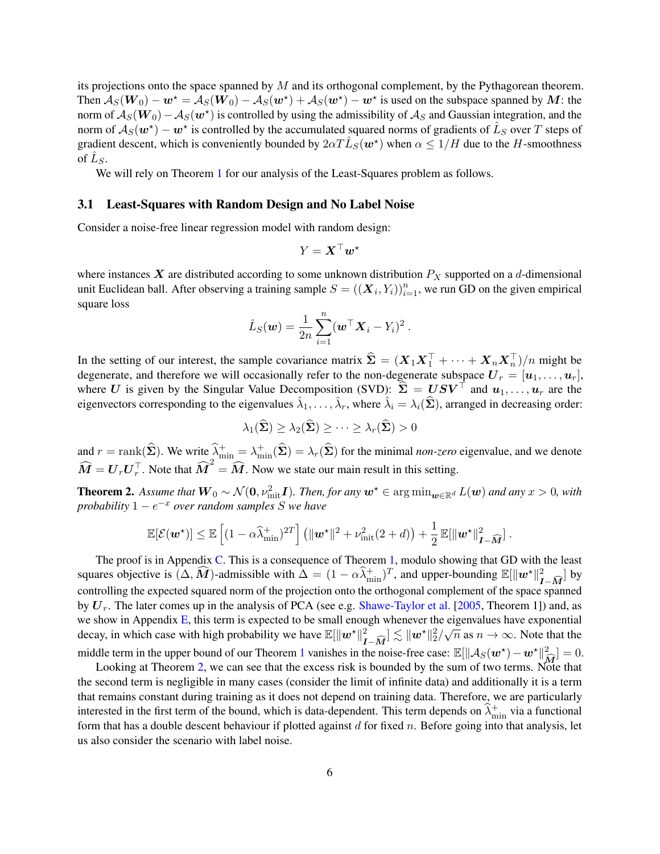its projections onto the space spanned by  $M$  and its orthogonal complement, by the Pythagorean theorem. Then  $A_S(W_0) - \bm{w}^* = A_S(W_0) - A_S(\bm{w}^*) + A_S(\bm{w}^*) - \bm{w}^*$  is used on the subspace spanned by  $\bm{M}$ : the norm of  $A_S(\bm{W}_0)-A_S(\bm{w}^\star)$  is controlled by using the admissibility of  $\mathcal{A}_S$  and Gaussian integration, and the norm of  $A_S(w^*)$  –  $w^*$  is controlled by the accumulated squared norms of gradients of  $\hat{L}_S$  over  $T$  steps of gradient descent, which is conveniently bounded by  $2\alpha T \hat{L}_S(w^*)$  when  $\alpha \leq 1/H$  due to the H-smoothness of  $\hat{L}_S$ .

We will rely on Theorem [1](#page-4-1) for our analysis of the Least-Squares problem as follows.

#### <span id="page-5-0"></span>3.1 Least-Squares with Random Design and No Label Noise

Consider a noise-free linear regression model with random design:

$$
Y = \boldsymbol{X}^\top \boldsymbol{w}^\star
$$

where instances X are distributed according to some unknown distribution  $P_X$  supported on a d-dimensional unit Euclidean ball. After observing a training sample  $S = ((\boldsymbol{X}_i, Y_i))_{i=1}^n$ , we run GD on the given empirical square loss

$$
\hat{L}_S(\boldsymbol{w}) = \frac{1}{2n} \sum_{i=1}^n (\boldsymbol{w}^\top \boldsymbol{X}_i - Y_i)^2.
$$

In the setting of our interest, the sample covariance matrix  $\hat{\Sigma} = (X_1 X_1^\top + \cdots + X_n X_n^\top)/n$  might be degenerate, and therefore we will occasionally refer to the non-degenerate subspace  $U_r = [u_1, \ldots, u_r]$ , where U is given by the Singular Value Decomposition (SVD):  $\hat{\Sigma} = USV^{\top}$  and  $u_1, \ldots, u_r$  are the eigenvectors corresponding to the eigenvalues  $\hat{\lambda}_1, \dots, \hat{\lambda}_r$ , where  $\hat{\lambda}_i = \lambda_i(\hat{\Sigma})$ , arranged in decreasing order:

$$
\lambda_1(\widehat{\boldsymbol{\Sigma}}) \geq \lambda_2(\widehat{\boldsymbol{\Sigma}}) \geq \cdots \geq \lambda_r(\widehat{\boldsymbol{\Sigma}}) > 0
$$

and  $r = \text{rank}(\hat{\Sigma})$ . We write  $\hat{\lambda}_{\text{min}}^+ = \lambda_{\text{min}}^+(\hat{\Sigma}) = \lambda_r(\hat{\Sigma})$  for the minimal *non-zero* eigenvalue, and we denote  $\widehat{M} = U_r U_r^{\top}$ . Note that  $\widehat{M}^2 = \widehat{M}$ . Now we state our main result in this setting.

<span id="page-5-1"></span>**Theorem 2.** Assume that  $W_0 \sim \mathcal{N}(0, \nu_{\text{init}}^2 I)$ . Then, for any  $w^* \in \argmin_{w \in \mathbb{R}^d} L(w)$  and any  $x > 0$ , with *probability* 1 − e <sup>−</sup><sup>x</sup> *over random samples* S *we have*

$$
\mathbb{E}[\mathcal{E}(\boldsymbol{w}^{\star})] \leq \mathbb{E}\left[(1-\alpha\widehat{\lambda}_{\min}^+)^{2T}\right] \left(\|\boldsymbol{w}^{\star}\|^2 + \nu_{\text{init}}^2(2+d)\right) + \frac{1}{2}\,\mathbb{E}[\|\boldsymbol{w}^{\star}\|_{\boldsymbol{I}-\widehat{\boldsymbol{M}}}^2].
$$

The proof is in Appendix [C.](#page-15-0) This is a consequence of Theorem [1,](#page-4-1) modulo showing that GD with the least squares objective is  $(\Delta, \widehat{M})$ -admissible with  $\Delta = (1 - \alpha \widehat{\lambda}_{\min}^+)^T$ , and upper-bounding  $\mathbb{E}[\|\mathbf{w}^*\|_{I-\widehat{M}}^2]$  by controlling the expected squared norm of the projection onto the orthogonal complement of the space spanned by  $U_r$ . The later comes up in the analysis of PCA (see e.g. [Shawe-Taylor et al.](#page-12-13) [\[2005,](#page-12-13) Theorem 1]) and, as we show in Appendix [E,](#page-24-0) this term is expected to be small enough whenever the eigenvalues have exponential we show in Appendix E, this term is expected to be shall enough whenever the eigenvalues have exponential decay, in which case with high probability we have  $\mathbb{E}[\|\boldsymbol{w}^*\|_1^2 - \widehat{M}] \lesssim \|\boldsymbol{w}^*\|_2^2 / \sqrt{n}$  as  $n \to \infty$ middle term in the upper bound of our Theorem [1](#page-4-1) vanishes in the noise-free case:  $\mathbb{E}[\|\mathcal{A}_S(w^*) - w^*\|_{\widehat{M}}^2] = 0$ .<br>Looking at Theorem 2, we can see that the excess risk is bounded by the sum of two terms. Note that

Looking at Theorem [2,](#page-5-1) we can see that the excess risk is bounded by the sum of two terms. Note that the second term is negligible in many cases (consider the limit of infinite data) and additionally it is a term that remains constant during training as it does not depend on training data. Therefore, we are particularly interested in the first term of the bound, which is data-dependent. This term depends on  $\hat{\lambda}_{\min}^+$  via a functional form that has a double descent behaviour if plotted against  $d$  for fixed  $n$ . Before going into that analysis, let us also consider the scenario with label noise.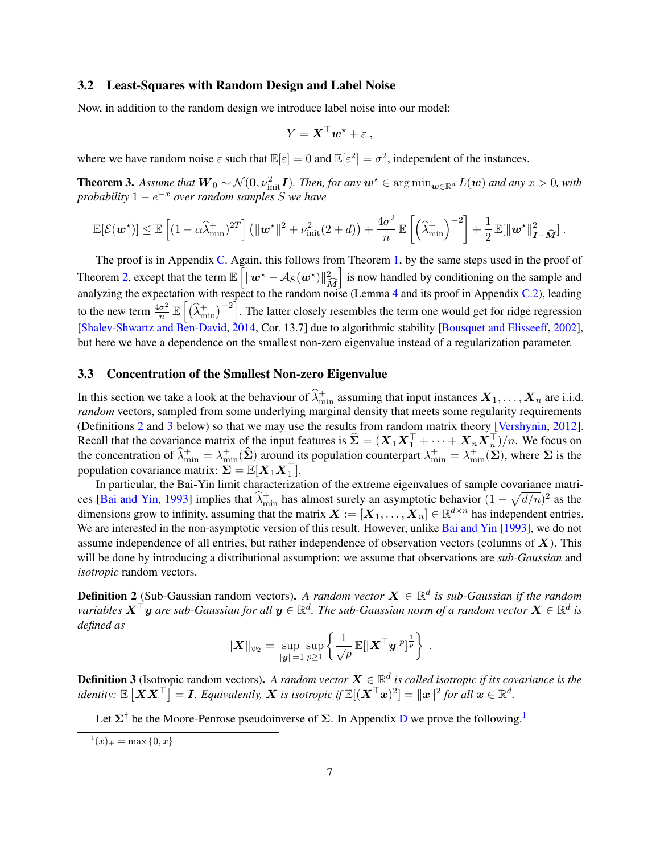#### <span id="page-6-0"></span>3.2 Least-Squares with Random Design and Label Noise

Now, in addition to the random design we introduce label noise into our model:

$$
Y = \mathbf{X}^\top \mathbf{w}^* + \varepsilon \;,
$$

where we have random noise  $\varepsilon$  such that  $\mathbb{E}[\varepsilon] = 0$  and  $\mathbb{E}[\varepsilon^2] = \sigma^2$ , independent of the instances.

**Theorem 3.** Assume that  $W_0 \sim \mathcal{N}(0, \nu_{\text{init}}^2 I)$ . Then, for any  $w^* \in \argmin_{w \in \mathbb{R}^d} L(w)$  and any  $x > 0$ , with *probability* 1 − e <sup>−</sup><sup>x</sup> *over random samples* S *we have*

$$
\mathbb{E}[\mathcal{E}(\boldsymbol{w}^{\star})] \leq \mathbb{E}\left[(1-\alpha\widehat{\lambda}_{\min}^+)^{2T}\right] \left(\|\boldsymbol{w}^{\star}\|^2 + \nu_{\text{init}}^2(2+d)\right) + \frac{4\sigma^2}{n}\,\mathbb{E}\left[\left(\widehat{\lambda}_{\min}^+\right)^{-2}\right] + \frac{1}{2}\,\mathbb{E}[\|\boldsymbol{w}^{\star}\|_{\boldsymbol{I}-\widehat{\boldsymbol{M}}}^2]\,.
$$

The proof is in Appendix [C.](#page-15-0) Again, this follows from Theorem [1,](#page-4-1) by the same steps used in the proof of Theorem [2,](#page-5-1) except that the term  $\mathbb{E}\left[\|\boldsymbol{w}^{\star}-\mathcal{A}_{S}(\boldsymbol{w}^{\star})\|_{\tilde{\boldsymbol{a}}}^{2}\right]$  $\overline{\mathbf{M}}$ i is now handled by conditioning on the sample and analyzing the expectation with respect to the random noise (Lemma [4](#page-19-0) and its proof in Appendix [C.2\)](#page-19-1), leading to the new term  $\frac{4\sigma^2}{n}$  $\frac{\sigma^2}{n} \mathbb{E}\left[\left(\widehat{\lambda}_{\min}^+\right)^{-2}\right]$ . The latter closely resembles the term one would get for ridge regression [\[Shalev-Shwartz and Ben-David,](#page-12-2) [2014,](#page-12-2) Cor. 13.7] due to algorithmic stability [\[Bousquet and Elisseeff,](#page-12-14) [2002\]](#page-12-14), but here we have a dependence on the smallest non-zero eigenvalue instead of a regularization parameter.

### <span id="page-6-1"></span>3.3 Concentration of the Smallest Non-zero Eigenvalue

In this section we take a look at the behaviour of  $\hat{\lambda}^+_{\min}$  assuming that input instances  $X_1, \ldots, X_n$  are i.i.d. *random* vectors, sampled from some underlying marginal density that meets some regularity requirements (Definitions [2](#page-6-2) and [3](#page-6-3) below) so that we may use the results from random matrix theory [\[Vershynin,](#page-12-15) [2012\]](#page-12-15). Recall that the covariance matrix of the input features is  $\hat{\Sigma} = (X_1 X_1^\top + \cdots + X_n X_n^\top)/n$ . We focus on the concentration of  $\hat{\lambda}^+_{\min} = \lambda^+_{\min}(\hat{\Sigma})$  around its population counterpart  $\lambda^+_{\min} = \lambda^+_{\min}(\Sigma)$ , where  $\Sigma$  is the population covariance matrix:  $\Sigma = \mathbb{E}[X_1 X_1^{\top}]$ .

In particular, the Bai-Yin limit characterization of the extreme eigenvalues of sample covariance matri-ces [\[Bai and Yin,](#page-13-0) [1993\]](#page-13-0) implies that  $\hat{\lambda}^+_{\text{min}}$  has almost surely an asymptotic behavior  $(1 - \sqrt{d/n})^2$  as the dimensions grow to infinity, assuming that the matrix  $X := [X_1, \ldots, X_n] \in \mathbb{R}^{d \times n}$  has independent entries. We are interested in the non-asymptotic version of this result. However, unlike [Bai and Yin](#page-13-0) [\[1993\]](#page-13-0), we do not assume independence of all entries, but rather independence of observation vectors (columns of  $X$ ). This will be done by introducing a distributional assumption: we assume that observations are *sub-Gaussian* and *isotropic* random vectors.

<span id="page-6-2"></span>**Definition 2** (Sub-Gaussian random vectors). A random vector  $X \in \mathbb{R}^d$  is sub-Gaussian if the random variables  $\bm{X}^\top \bm{y}$  are sub-Gaussian for all  $\bm{y} \in \mathbb{R}^d$ . The sub-Gaussian norm of a random vector  $\bm{X} \in \mathbb{R}^d$  is *defined as*

$$
\|\bm{X}\|_{\psi_2} = \sup_{\|\bm{y}\|=1} \sup_{p\geq 1} \left\{ \frac{1}{\sqrt{p}} \, \mathbb{E}[\|\bm{X}^\top \bm{y}|^p]^{\frac{1}{p}} \right\} \; .
$$

<span id="page-6-3"></span>**Definition 3** (Isotropic random vectors). A random vector  $X \in \mathbb{R}^d$  is called isotropic if its covariance is the identity:  $\mathbb{E}\left[\boldsymbol{X}\boldsymbol{X}^\top\right]=\boldsymbol{I}.$  Equivalently,  $\boldsymbol{X}$  is isotropic if  $\mathbb{E}[(\boldsymbol{X}^\top \boldsymbol{x})^2]=\|\boldsymbol{x}\|^2$  for all  $\boldsymbol{x}\in\mathbb{R}^d.$ 

Let  $\Sigma^{\dagger}$  be the Moore-Penrose pseudoinverse of  $\Sigma$ . In Appendix [D](#page-22-0) we prove the following.<sup>[1](#page-6-4)</sup>

<span id="page-6-5"></span><span id="page-6-4"></span> $x^1(x)_+ = \max\{0, x\}$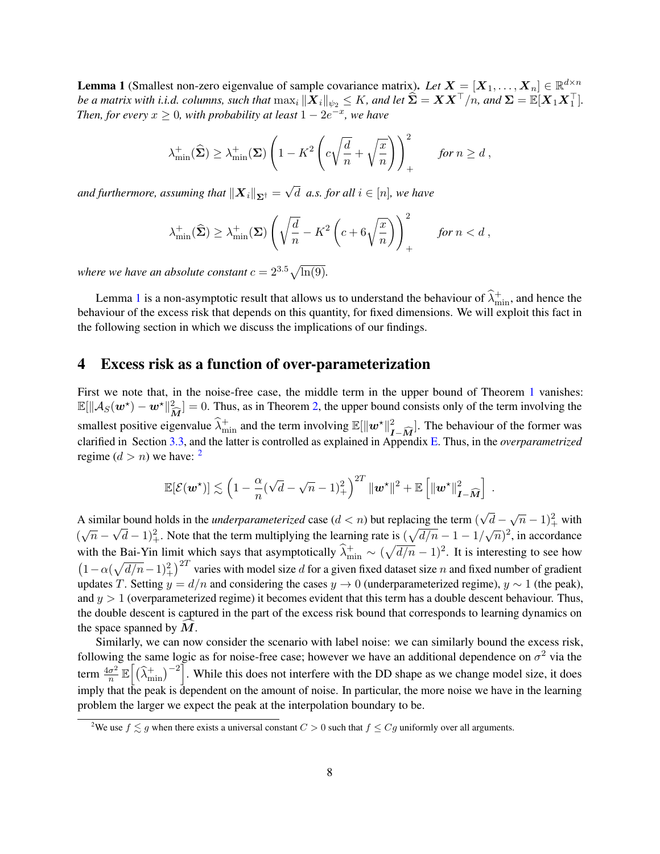**Lemma 1** (Smallest non-zero eigenvalue of sample covariance matrix). Let  $X = [X_1, \ldots, X_n] \in \mathbb{R}^{d \times n}$ *be a matrix with i.i.d. columns, such that*  $\max_i \|X_i\|_{\psi_2} \leq K$ *, and let*  $\widehat{\Sigma} = XX^\top/n$ *, and*  $\Sigma = \mathbb{E}[X_1X_1^\top]$ *. Then, for every*  $x \geq 0$ *, with probability at least*  $1 - 2e^{-x}$ *, we have* 

$$
\lambda^+_{\min}(\widehat{\boldsymbol{\Sigma}}) \ge \lambda^+_{\min}(\boldsymbol{\Sigma}) \left( 1 - K^2 \left( c \sqrt{\frac{d}{n}} + \sqrt{\frac{x}{n}} \right) \right)_+^2 \quad \text{for } n \ge d,
$$

and furthermore, assuming that  $\left\| \boldsymbol{X}_{i}\right\| _{\mathbf{\Sigma}^{\dagger}}=$ √  $d \text{ } a.s. \text{ for all } i \in [n]$ , we have

$$
\lambda^+_{\min}(\widehat{\boldsymbol{\Sigma}}) \ge \lambda^+_{\min}(\boldsymbol{\Sigma}) \left( \sqrt{\frac{d}{n}} - K^2 \left( c + 6\sqrt{\frac{x}{n}} \right) \right)_+^2 \quad \text{for } n < d,
$$

*where we have an absolute constant*  $c = 2^{3.5}\sqrt{\ln(9)}$ *.* 

Lemma [1](#page-6-5) is a non-asymptotic result that allows us to understand the behaviour of  $\hat{\lambda}^+_{\text{min}}$ , and hence the behaviour of the excess risk that depends on this quantity, for fixed dimensions. We will exploit this fact in the following section in which we discuss the implications of our findings.

### <span id="page-7-0"></span>4 Excess risk as a function of over-parameterization

First we note that, in the noise-free case, the middle term in the upper bound of Theorem [1](#page-4-1) vanishes:  $\mathbb{E}[\|\mathcal{A}_S(\boldsymbol{w}^*) - \boldsymbol{w}^*\|_m^2] = 0$ . Thus, as in Theorem [2,](#page-5-1) the upper bound consists only of the term involving the smallest positive eigenvalue  $\widehat{\lambda}_{\min}^+$  and the term involving  $\mathbb{E}[\|\boldsymbol{w}^\star\|_{I-\widehat{M}}^2]$ . The behaviour of the former was clarified in Section [3.3,](#page-6-1) and the latter is controlled as explained in Appendix [E.](#page-24-0) Thus, in the *overparametrized* regime  $(d > n)$  we have: <sup>[2](#page-7-1)</sup>

$$
\mathbb{E}[\mathcal{E}(\boldsymbol{w}^\star)] \lesssim \left(1 - \frac{\alpha}{n}(\sqrt{d} - \sqrt{n} - 1)_{+}^2\right)^{2T} \|\boldsymbol{w}^\star\|^2 + \mathbb{E}\left[\|\boldsymbol{w}^\star\|_{\boldsymbol{I} - \widehat{\boldsymbol{M}}}^2\right] \; .
$$

A similar bound holds in the *underparameterized* case  $(d < n)$  but replacing the term ( √ ar bound holds in the *underparameterized* case  $(d < n)$  but replacing the term  $(\sqrt{d} - \sqrt{n} - 1)^2_+$  with  $(\sqrt{n} - \sqrt{d} - 1)^2$ . Note that the term multiplying the learning rate is  $(\sqrt{d/n} - 1 - 1/\sqrt{n})^2$ , in accordance with the Bai-Yin limit which says that asymptotically  $\hat{\lambda}^+_{\text{min}} \sim (\sqrt{d/n} - 1)^2$ . It is interesting to see how  $(1 - \alpha(\sqrt{d/n}-1)^2 + i^2$  varies with model size d for a given fixed dataset size n and fixed number of gradient updates T. Setting  $y = d/n$  and considering the cases  $y \to 0$  (underparameterized regime),  $y \sim 1$  (the peak), and  $y > 1$  (overparameterized regime) it becomes evident that this term has a double descent behaviour. Thus, the double descent is captured in the part of the excess risk bound that corresponds to learning dynamics on the space spanned by  $M$ .

Similarly, we can now consider the scenario with label noise: we can similarly bound the excess risk, following the same logic as for noise-free case; however we have an additional dependence on  $\sigma^2$  via the term  $\frac{4\sigma^2}{n}$  $\frac{\sigma^2}{n} \mathbb{E}\left[\left(\widehat{\lambda}_{\min}^+\right)^{-2}\right]$ . While this does not interfere with the DD shape as we change model size, it does imply that the peak is dependent on the amount of noise. In particular, the more noise we have in the learning problem the larger we expect the peak at the interpolation boundary to be.

<span id="page-7-1"></span><sup>&</sup>lt;sup>2</sup>We use  $f \lesssim g$  when there exists a universal constant  $C > 0$  such that  $f \leq Cg$  uniformly over all arguments.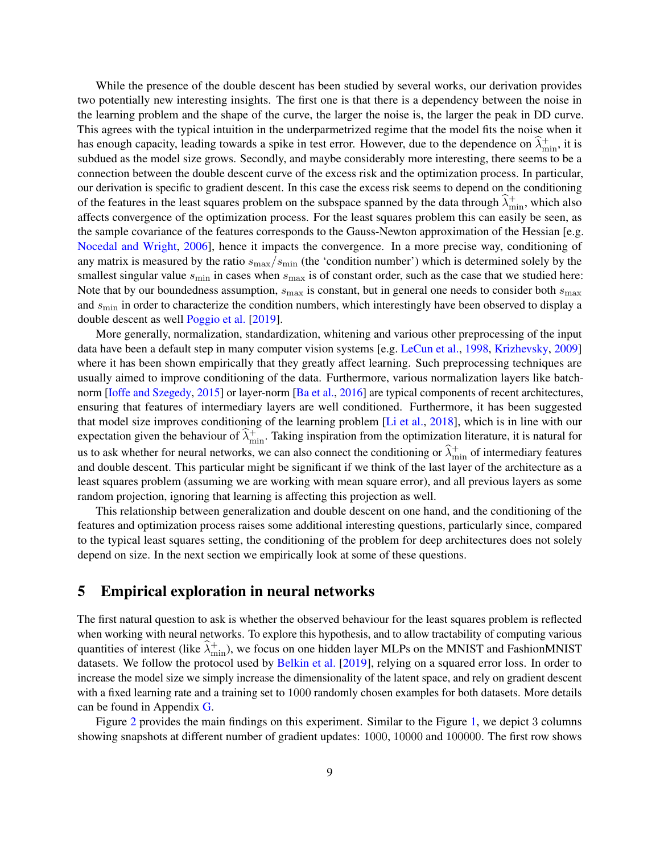While the presence of the double descent has been studied by several works, our derivation provides two potentially new interesting insights. The first one is that there is a dependency between the noise in the learning problem and the shape of the curve, the larger the noise is, the larger the peak in DD curve. This agrees with the typical intuition in the underparmetrized regime that the model fits the noise when it has enough capacity, leading towards a spike in test error. However, due to the dependence on  $\hat{\lambda}_{\min}^+$ , it is subdued as the model size grows. Secondly, and maybe considerably more interesting, there seems to be a connection between the double descent curve of the excess risk and the optimization process. In particular, our derivation is specific to gradient descent. In this case the excess risk seems to depend on the conditioning of the features in the least squares problem on the subspace spanned by the data through  $\hat{\lambda}_{\min}^+$ , which also affects convergence of the optimization process. For the least squares problem this can easily be seen, as the sample covariance of the features corresponds to the Gauss-Newton approximation of the Hessian [e.g. [Nocedal and Wright,](#page-13-1) [2006\]](#page-13-1), hence it impacts the convergence. In a more precise way, conditioning of any matrix is measured by the ratio  $s_{\text{max}}/s_{\text{min}}$  (the 'condition number') which is determined solely by the smallest singular value  $s_{\text{min}}$  in cases when  $s_{\text{max}}$  is of constant order, such as the case that we studied here: Note that by our boundedness assumption,  $s_{\text{max}}$  is constant, but in general one needs to consider both  $s_{\text{max}}$ and  $s_{\text{min}}$  in order to characterize the condition numbers, which interestingly have been observed to display a double descent as well [Poggio et al.](#page-13-2) [\[2019\]](#page-13-2).

More generally, normalization, standardization, whitening and various other preprocessing of the input data have been a default step in many computer vision systems [e.g. [LeCun et al.,](#page-13-3) [1998,](#page-13-3) [Krizhevsky,](#page-13-4) [2009\]](#page-13-4) where it has been shown empirically that they greatly affect learning. Such preprocessing techniques are usually aimed to improve conditioning of the data. Furthermore, various normalization layers like batchnorm [\[Ioffe and Szegedy,](#page-13-5) [2015\]](#page-13-5) or layer-norm [\[Ba et al.,](#page-13-6) [2016\]](#page-13-6) are typical components of recent architectures, ensuring that features of intermediary layers are well conditioned. Furthermore, it has been suggested that model size improves conditioning of the learning problem [\[Li et al.,](#page-13-7) [2018\]](#page-13-7), which is in line with our expectation given the behaviour of  $\hat{\lambda}^+_{min}$ . Taking inspiration from the optimization literature, it is natural for us to ask whether for neural networks, we can also connect the conditioning or  $\hat{\lambda}^+_{\text{min}}$  of intermediary features and double descent. This particular might be significant if we think of the last layer of the architecture as a least squares problem (assuming we are working with mean square error), and all previous layers as some random projection, ignoring that learning is affecting this projection as well.

This relationship between generalization and double descent on one hand, and the conditioning of the features and optimization process raises some additional interesting questions, particularly since, compared to the typical least squares setting, the conditioning of the problem for deep architectures does not solely depend on size. In the next section we empirically look at some of these questions.

# <span id="page-8-0"></span>5 Empirical exploration in neural networks

The first natural question to ask is whether the observed behaviour for the least squares problem is reflected when working with neural networks. To explore this hypothesis, and to allow tractability of computing various quantities of interest (like  $\hat{\lambda}_{\min}^+$ ), we focus on one hidden layer MLPs on the MNIST and FashionMNIST datasets. We follow the protocol used by [Belkin et al.](#page-12-3) [\[2019\]](#page-12-3), relying on a squared error loss. In order to increase the model size we simply increase the dimensionality of the latent space, and rely on gradient descent with a fixed learning rate and a training set to 1000 randomly chosen examples for both datasets. More details can be found in Appendix [G.](#page-27-0)

Figure [2](#page-9-0) provides the main findings on this experiment. Similar to the Figure [1,](#page-1-0) we depict 3 columns showing snapshots at different number of gradient updates: 1000, 10000 and 100000. The first row shows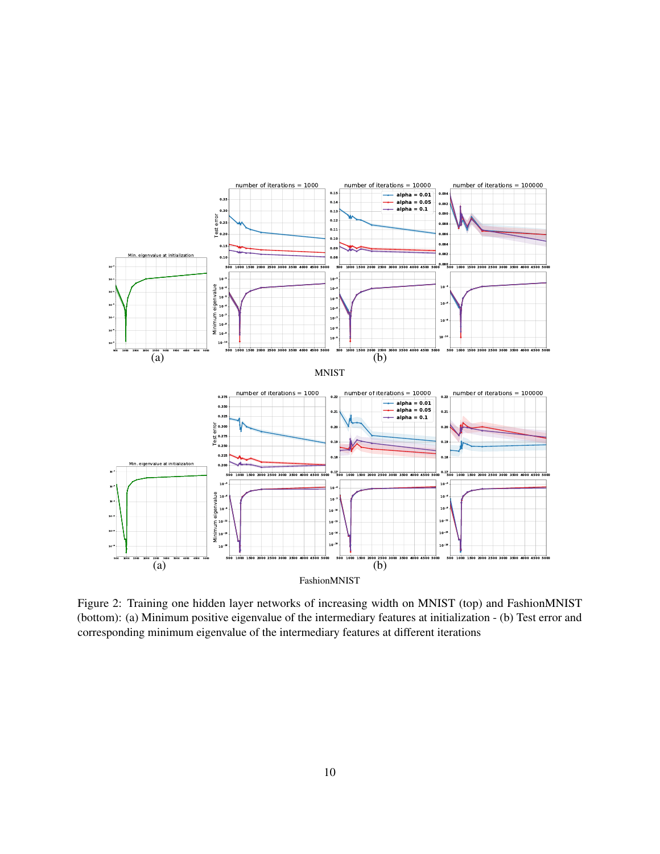

<span id="page-9-0"></span>Figure 2: Training one hidden layer networks of increasing width on MNIST (top) and FashionMNIST (bottom): (a) Minimum positive eigenvalue of the intermediary features at initialization - (b) Test error and corresponding minimum eigenvalue of the intermediary features at different iterations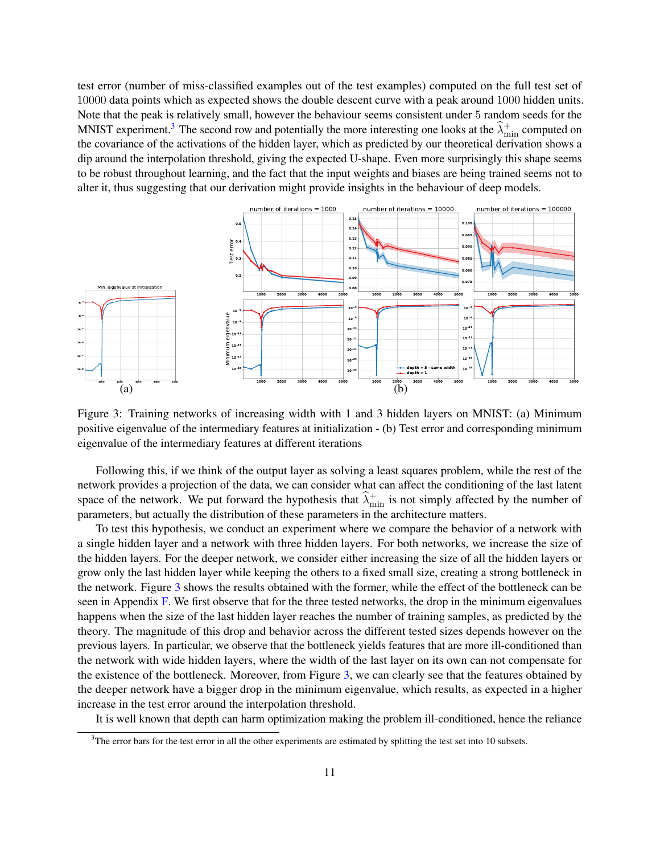test error (number of miss-classified examples out of the test examples) computed on the full test set of 10000 data points which as expected shows the double descent curve with a peak around 1000 hidden units. Note that the peak is relatively small, however the behaviour seems consistent under 5 random seeds for the MNIST experiment.<sup>[3](#page-10-0)</sup> The second row and potentially the more interesting one looks at the  $\hat{\lambda}_{\min}^+$  computed on the covariance of the activations of the hidden layer, which as predicted by our theoretical derivation shows a dip around the interpolation threshold, giving the expected U-shape. Even more surprisingly this shape seems to be robust throughout learning, and the fact that the input weights and biases are being trained seems not to alter it, thus suggesting that our derivation might provide insights in the behaviour of deep models.



<span id="page-10-1"></span>Figure 3: Training networks of increasing width with 1 and 3 hidden layers on MNIST: (a) Minimum positive eigenvalue of the intermediary features at initialization - (b) Test error and corresponding minimum eigenvalue of the intermediary features at different iterations

Following this, if we think of the output layer as solving a least squares problem, while the rest of the network provides a projection of the data, we can consider what can affect the conditioning of the last latent space of the network. We put forward the hypothesis that  $\hat{\lambda}_{\min}^+$  is not simply affected by the number of parameters, but actually the distribution of these parameters in the architecture matters.

To test this hypothesis, we conduct an experiment where we compare the behavior of a network with a single hidden layer and a network with three hidden layers. For both networks, we increase the size of the hidden layers. For the deeper network, we consider either increasing the size of all the hidden layers or grow only the last hidden layer while keeping the others to a fixed small size, creating a strong bottleneck in the network. Figure [3](#page-10-1) shows the results obtained with the former, while the effect of the bottleneck can be seen in Appendix [F.](#page-25-0) We first observe that for the three tested networks, the drop in the minimum eigenvalues happens when the size of the last hidden layer reaches the number of training samples, as predicted by the theory. The magnitude of this drop and behavior across the different tested sizes depends however on the previous layers. In particular, we observe that the bottleneck yields features that are more ill-conditioned than the network with wide hidden layers, where the width of the last layer on its own can not compensate for the existence of the bottleneck. Moreover, from Figure [3,](#page-10-1) we can clearly see that the features obtained by the deeper network have a bigger drop in the minimum eigenvalue, which results, as expected in a higher increase in the test error around the interpolation threshold.

It is well known that depth can harm optimization making the problem ill-conditioned, hence the reliance

<span id="page-10-0"></span> $3$ The error bars for the test error in all the other experiments are estimated by splitting the test set into 10 subsets.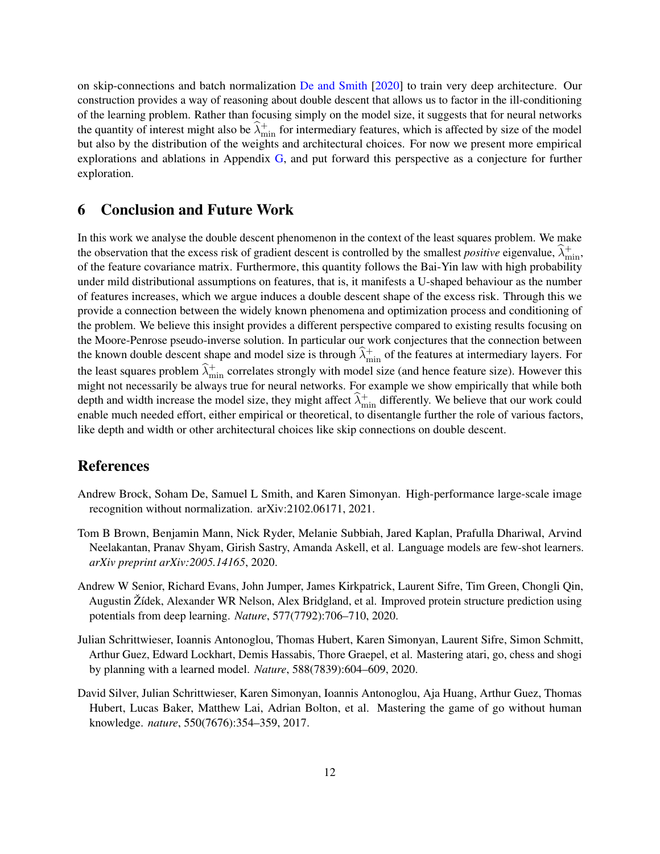on skip-connections and batch normalization [De and Smith](#page-13-8) [\[2020\]](#page-13-8) to train very deep architecture. Our construction provides a way of reasoning about double descent that allows us to factor in the ill-conditioning of the learning problem. Rather than focusing simply on the model size, it suggests that for neural networks the quantity of interest might also be  $\hat{\lambda}^+_{\min}$  for intermediary features, which is affected by size of the model but also by the distribution of the weights and architectural choices. For now we present more empirical explorations and ablations in Appendix [G,](#page-27-0) and put forward this perspective as a conjecture for further exploration.

# 6 Conclusion and Future Work

In this work we analyse the double descent phenomenon in the context of the least squares problem. We make the observation that the excess risk of gradient descent is controlled by the smallest *positive* eigenvalue,  $\hat{\lambda}_{\text{min}}^+$ , of the feature covariance matrix. Furthermore, this quantity follows the Bai-Yin law with high probability under mild distributional assumptions on features, that is, it manifests a U-shaped behaviour as the number of features increases, which we argue induces a double descent shape of the excess risk. Through this we provide a connection between the widely known phenomena and optimization process and conditioning of the problem. We believe this insight provides a different perspective compared to existing results focusing on the Moore-Penrose pseudo-inverse solution. In particular our work conjectures that the connection between the known double descent shape and model size is through  $\hat{\lambda}^+_{\text{min}}$  of the features at intermediary layers. For the least squares problem  $\hat{\lambda}_{\text{min}}^+$  correlates strongly with model size (and hence feature size). However this might not necessarily be always true for neural networks. For example we show empirically that while both depth and width increase the model size, they might affect  $\hat{\lambda}^+_{\text{min}}$  differently. We believe that our work could enable much needed effort, either empirical or theoretical, to disentangle further the role of various factors, like depth and width or other architectural choices like skip connections on double descent.

# References

- <span id="page-11-0"></span>Andrew Brock, Soham De, Samuel L Smith, and Karen Simonyan. High-performance large-scale image recognition without normalization. arXiv:2102.06171, 2021.
- <span id="page-11-1"></span>Tom B Brown, Benjamin Mann, Nick Ryder, Melanie Subbiah, Jared Kaplan, Prafulla Dhariwal, Arvind Neelakantan, Pranav Shyam, Girish Sastry, Amanda Askell, et al. Language models are few-shot learners. *arXiv preprint arXiv:2005.14165*, 2020.
- <span id="page-11-2"></span>Andrew W Senior, Richard Evans, John Jumper, James Kirkpatrick, Laurent Sifre, Tim Green, Chongli Qin, Augustin Žídek, Alexander WR Nelson, Alex Bridgland, et al. Improved protein structure prediction using potentials from deep learning. *Nature*, 577(7792):706–710, 2020.
- <span id="page-11-3"></span>Julian Schrittwieser, Ioannis Antonoglou, Thomas Hubert, Karen Simonyan, Laurent Sifre, Simon Schmitt, Arthur Guez, Edward Lockhart, Demis Hassabis, Thore Graepel, et al. Mastering atari, go, chess and shogi by planning with a learned model. *Nature*, 588(7839):604–609, 2020.
- <span id="page-11-4"></span>David Silver, Julian Schrittwieser, Karen Simonyan, Ioannis Antonoglou, Aja Huang, Arthur Guez, Thomas Hubert, Lucas Baker, Matthew Lai, Adrian Bolton, et al. Mastering the game of go without human knowledge. *nature*, 550(7676):354–359, 2017.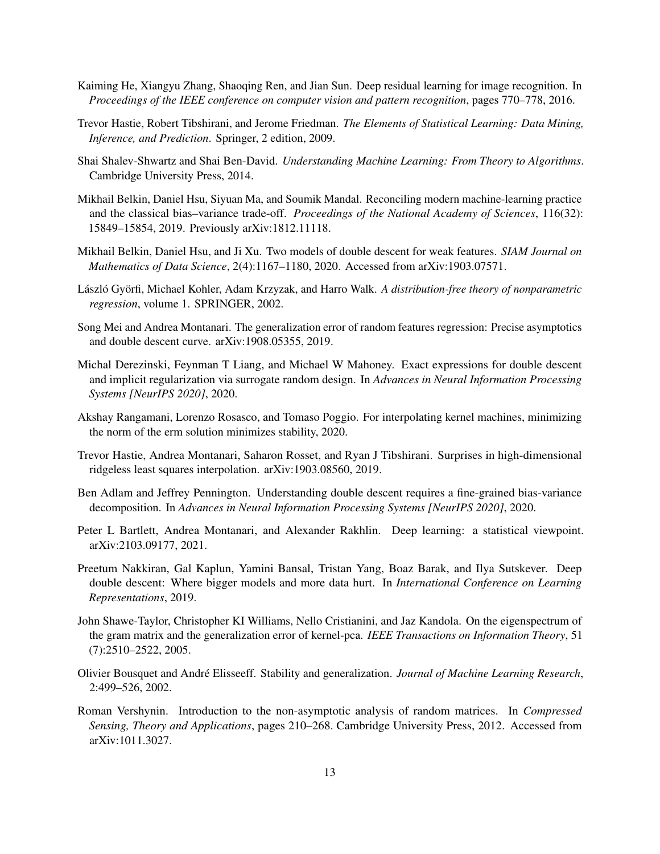- <span id="page-12-0"></span>Kaiming He, Xiangyu Zhang, Shaoqing Ren, and Jian Sun. Deep residual learning for image recognition. In *Proceedings of the IEEE conference on computer vision and pattern recognition*, pages 770–778, 2016.
- <span id="page-12-1"></span>Trevor Hastie, Robert Tibshirani, and Jerome Friedman. *The Elements of Statistical Learning: Data Mining, Inference, and Prediction*. Springer, 2 edition, 2009.
- <span id="page-12-2"></span>Shai Shalev-Shwartz and Shai Ben-David. *Understanding Machine Learning: From Theory to Algorithms*. Cambridge University Press, 2014.
- <span id="page-12-3"></span>Mikhail Belkin, Daniel Hsu, Siyuan Ma, and Soumik Mandal. Reconciling modern machine-learning practice and the classical bias–variance trade-off. *Proceedings of the National Academy of Sciences*, 116(32): 15849–15854, 2019. Previously arXiv:1812.11118.
- <span id="page-12-4"></span>Mikhail Belkin, Daniel Hsu, and Ji Xu. Two models of double descent for weak features. *SIAM Journal on Mathematics of Data Science*, 2(4):1167–1180, 2020. Accessed from arXiv:1903.07571.
- <span id="page-12-5"></span>László Györfi, Michael Kohler, Adam Krzyzak, and Harro Walk. *A distribution-free theory of nonparametric regression*, volume 1. SPRINGER, 2002.
- <span id="page-12-6"></span>Song Mei and Andrea Montanari. The generalization error of random features regression: Precise asymptotics and double descent curve. arXiv:1908.05355, 2019.
- <span id="page-12-7"></span>Michal Derezinski, Feynman T Liang, and Michael W Mahoney. Exact expressions for double descent and implicit regularization via surrogate random design. In *Advances in Neural Information Processing Systems [NeurIPS 2020]*, 2020.
- <span id="page-12-8"></span>Akshay Rangamani, Lorenzo Rosasco, and Tomaso Poggio. For interpolating kernel machines, minimizing the norm of the erm solution minimizes stability, 2020.
- <span id="page-12-9"></span>Trevor Hastie, Andrea Montanari, Saharon Rosset, and Ryan J Tibshirani. Surprises in high-dimensional ridgeless least squares interpolation. arXiv:1903.08560, 2019.
- <span id="page-12-10"></span>Ben Adlam and Jeffrey Pennington. Understanding double descent requires a fine-grained bias-variance decomposition. In *Advances in Neural Information Processing Systems [NeurIPS 2020]*, 2020.
- <span id="page-12-11"></span>Peter L Bartlett, Andrea Montanari, and Alexander Rakhlin. Deep learning: a statistical viewpoint. arXiv:2103.09177, 2021.
- <span id="page-12-12"></span>Preetum Nakkiran, Gal Kaplun, Yamini Bansal, Tristan Yang, Boaz Barak, and Ilya Sutskever. Deep double descent: Where bigger models and more data hurt. In *International Conference on Learning Representations*, 2019.
- <span id="page-12-13"></span>John Shawe-Taylor, Christopher KI Williams, Nello Cristianini, and Jaz Kandola. On the eigenspectrum of the gram matrix and the generalization error of kernel-pca. *IEEE Transactions on Information Theory*, 51 (7):2510–2522, 2005.
- <span id="page-12-14"></span>Olivier Bousquet and André Elisseeff. Stability and generalization. *Journal of Machine Learning Research*, 2:499–526, 2002.
- <span id="page-12-15"></span>Roman Vershynin. Introduction to the non-asymptotic analysis of random matrices. In *Compressed Sensing, Theory and Applications*, pages 210–268. Cambridge University Press, 2012. Accessed from arXiv:1011.3027.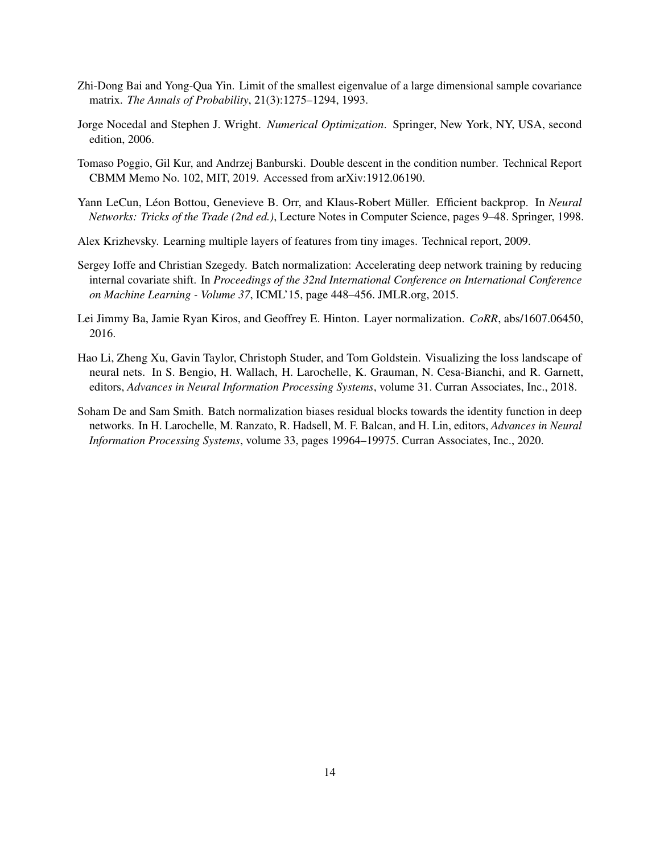- <span id="page-13-0"></span>Zhi-Dong Bai and Yong-Qua Yin. Limit of the smallest eigenvalue of a large dimensional sample covariance matrix. *The Annals of Probability*, 21(3):1275–1294, 1993.
- <span id="page-13-1"></span>Jorge Nocedal and Stephen J. Wright. *Numerical Optimization*. Springer, New York, NY, USA, second edition, 2006.
- <span id="page-13-2"></span>Tomaso Poggio, Gil Kur, and Andrzej Banburski. Double descent in the condition number. Technical Report CBMM Memo No. 102, MIT, 2019. Accessed from arXiv:1912.06190.
- <span id="page-13-3"></span>Yann LeCun, Léon Bottou, Genevieve B. Orr, and Klaus-Robert Müller. Efficient backprop. In *Neural Networks: Tricks of the Trade (2nd ed.)*, Lecture Notes in Computer Science, pages 9–48. Springer, 1998.
- <span id="page-13-4"></span>Alex Krizhevsky. Learning multiple layers of features from tiny images. Technical report, 2009.
- <span id="page-13-5"></span>Sergey Ioffe and Christian Szegedy. Batch normalization: Accelerating deep network training by reducing internal covariate shift. In *Proceedings of the 32nd International Conference on International Conference on Machine Learning - Volume 37*, ICML'15, page 448–456. JMLR.org, 2015.
- <span id="page-13-6"></span>Lei Jimmy Ba, Jamie Ryan Kiros, and Geoffrey E. Hinton. Layer normalization. *CoRR*, abs/1607.06450, 2016.
- <span id="page-13-7"></span>Hao Li, Zheng Xu, Gavin Taylor, Christoph Studer, and Tom Goldstein. Visualizing the loss landscape of neural nets. In S. Bengio, H. Wallach, H. Larochelle, K. Grauman, N. Cesa-Bianchi, and R. Garnett, editors, *Advances in Neural Information Processing Systems*, volume 31. Curran Associates, Inc., 2018.
- <span id="page-13-8"></span>Soham De and Sam Smith. Batch normalization biases residual blocks towards the identity function in deep networks. In H. Larochelle, M. Ranzato, R. Hadsell, M. F. Balcan, and H. Lin, editors, *Advances in Neural Information Processing Systems*, volume 33, pages 19964–19975. Curran Associates, Inc., 2020.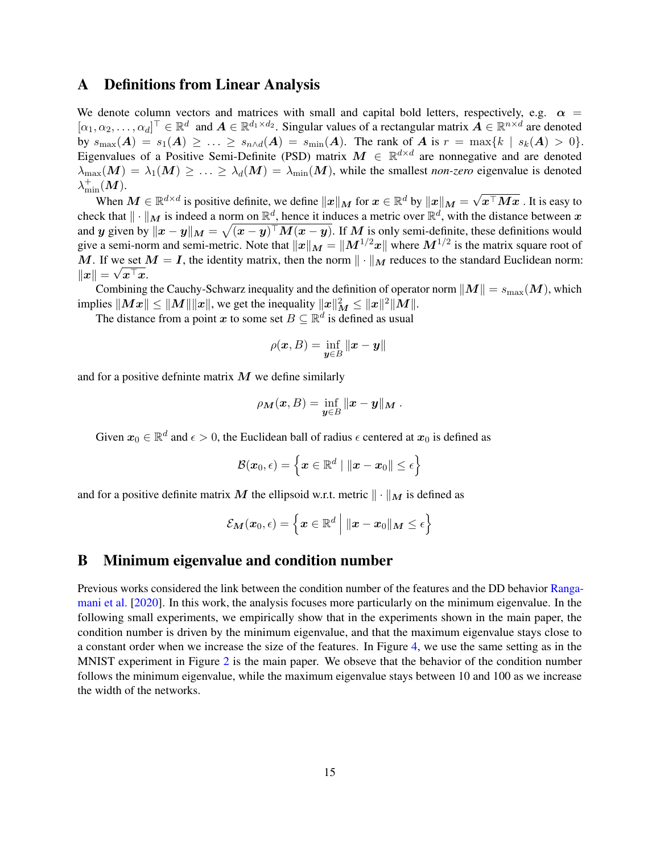### <span id="page-14-0"></span>A Definitions from Linear Analysis

We denote column vectors and matrices with small and capital bold letters, respectively, e.g.  $\alpha$  =  $[\alpha_1, \alpha_2, \dots, \alpha_d]^\top \in \mathbb{R}^d$  and  $\mathbf{A} \in \mathbb{R}^{d_1 \times d_2}$ . Singular values of a rectangular matrix  $\mathbf{A} \in \mathbb{R}^{n \times d}$  are denoted by  $s_{\max}(A) = s_1(A) \ge \ldots \ge s_{n \wedge d}(A) = s_{\min}(A)$ . The rank of A is  $r = \max\{k \mid s_k(A) > 0\}$ . Eigenvalues of a Positive Semi-Definite (PSD) matrix  $M \in \mathbb{R}^{d \times d}$  are nonnegative and are denoted  $\lambda_{\max}(M) = \lambda_1(M) \geq \ldots \geq \lambda_d(M) = \lambda_{\min}(M)$ , while the smallest *non-zero* eigenvalue is denoted  $\lambda^+_{\text{min}}(\bm{M}).$ √

When  $M \in \mathbb{R}^{d \times d}$  is positive definite, we define  $\|x\|_M$  for  $x \in \mathbb{R}^d$  by  $\|x\|_M =$  $x^\top M x$  . It is easy to check that  $\|\cdot\|_M$  is indeed a norm on  $\mathbb{R}^d$ , hence it induces a metric over  $\mathbb{R}^d$ , with the distance between  $x$ and  $y$  given by  $\|x-y\|_M = \sqrt{(x-y)^\top M (x-y)}$ . If  $M$  is only semi-definite, these definitions would give a semi-norm and semi-metric. Note that  $||x||_M = ||M^{1/2}x||$  where  $M^{1/2}$  is the matrix square root of M. If we set  $M = I$ , the identity matrix, then the norm  $\|\cdot\|_M$  reduces to the standard Euclidean norm:  $\|\boldsymbol{x}\| = \sqrt{\boldsymbol{x}^{\top}\boldsymbol{x}}.$ 

Combining the Cauchy-Schwarz inequality and the definition of operator norm  $||M|| = s_{\text{max}}(M)$ , which implies  $\|Mx\|\leq \|M\|\|x\|$ , we get the inequality  $\|x\|_M^2\leq \|x\|^2\|M\|.$ 

The distance from a point x to some set  $B \subseteq \mathbb{R}^d$  is defined as usual

$$
\rho(\pmb{x},B)=\inf_{\pmb{y}\in B}\|\pmb{x}-\pmb{y}\|
$$

and for a positive definite matrix  $M$  we define similarly

$$
\rho_{\boldsymbol{M}}(\boldsymbol{x},B)=\inf_{\boldsymbol{y}\in B}\|\boldsymbol{x}-\boldsymbol{y}\|_{\boldsymbol{M}}.
$$

Given  $x_0 \in \mathbb{R}^d$  and  $\epsilon > 0$ , the Euclidean ball of radius  $\epsilon$  centered at  $x_0$  is defined as

$$
\mathcal{B}(\boldsymbol{x}_0,\epsilon) = \left\{ \boldsymbol{x} \in \mathbb{R}^d \mid \|\boldsymbol{x} - \boldsymbol{x}_0\| \leq \epsilon \right\}
$$

and for a positive definite matrix M the ellipsoid w.r.t. metric  $\|\cdot\|_M$  is defined as

$$
\mathcal{E}_{\boldsymbol{M}}(\boldsymbol{x}_0,\epsilon)=\left\{\boldsymbol{x}\in\mathbb{R}^d\ \Big|\ \|\boldsymbol{x}-\boldsymbol{x}_0\|_{\boldsymbol{M}}\leq\epsilon\right\}
$$

# B Minimum eigenvalue and condition number

Previous works considered the link between the condition number of the features and the DD behavior [Ranga](#page-12-8)[mani et al.](#page-12-8) [\[2020\]](#page-12-8). In this work, the analysis focuses more particularly on the minimum eigenvalue. In the following small experiments, we empirically show that in the experiments shown in the main paper, the condition number is driven by the minimum eigenvalue, and that the maximum eigenvalue stays close to a constant order when we increase the size of the features. In Figure [4,](#page-15-1) we use the same setting as in the MNIST experiment in Figure [2](#page-9-0) is the main paper. We obseve that the behavior of the condition number follows the minimum eigenvalue, while the maximum eigenvalue stays between 10 and 100 as we increase the width of the networks.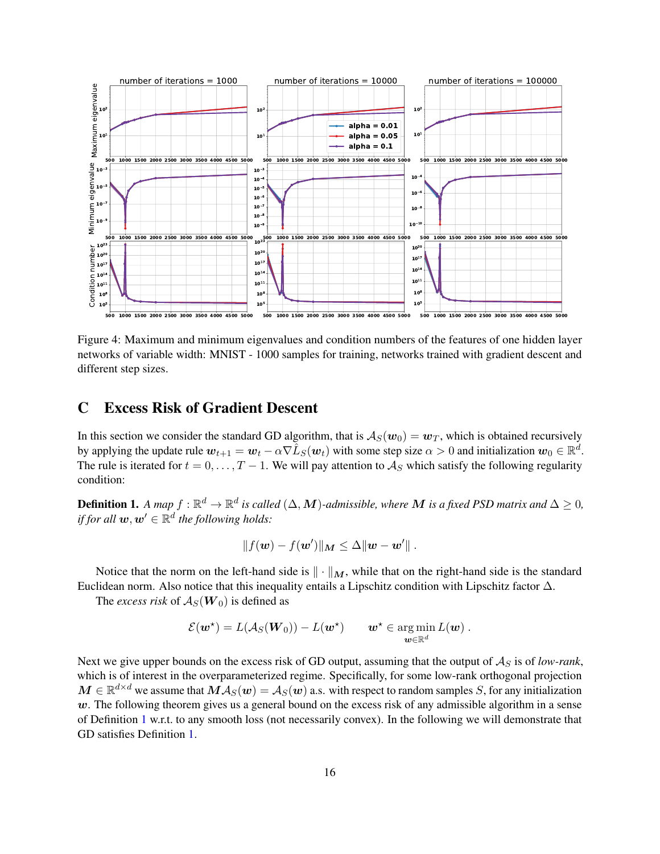

Figure 4: Maximum and minimum eigenvalues and condition numbers of the features of one hidden layer networks of variable width: MNIST - 1000 samples for training, networks trained with gradient descent and different step sizes.

### <span id="page-15-0"></span>C Excess Risk of Gradient Descent

In this section we consider the standard GD algorithm, that is  $A_S(w_0) = w_T$ , which is obtained recursively by applying the update rule  $w_{t+1} = w_t - \alpha \nabla \hat{L}_S(w_t)$  with some step size  $\alpha > 0$  and initialization  $w_0 \in \mathbb{R}^d$ . The rule is iterated for  $t = 0, \ldots, T - 1$ . We will pay attention to  $\mathcal{A}_S$  which satisfy the following regularity condition:

**Definition 1.** A map  $f : \mathbb{R}^d \to \mathbb{R}^d$  is called  $(\Delta, M)$ -admissible, where  $M$  is a fixed PSD matrix and  $\Delta \geq 0$ , if for all  $\boldsymbol{w}, \boldsymbol{w}' \in \mathbb{R}^d$  the following holds:

<span id="page-15-1"></span>
$$
||f(\mathbf{w}) - f(\mathbf{w}')||_{\mathbf{M}} \leq \Delta ||\mathbf{w} - \mathbf{w}'||.
$$

Notice that the norm on the left-hand side is  $\|\cdot\|_M$ , while that on the right-hand side is the standard Euclidean norm. Also notice that this inequality entails a Lipschitz condition with Lipschitz factor  $\Delta$ .

The *excess risk* of  $A_S(W_0)$  is defined as

$$
\mathcal{E}(\boldsymbol{w}^{\star}) = L(\mathcal{A}_S(\boldsymbol{W}_0)) - L(\boldsymbol{w}^{\star}) \qquad \boldsymbol{w}^{\star} \in \argmin_{\boldsymbol{w} \in \mathbb{R}^d} L(\boldsymbol{w}) .
$$

Next we give upper bounds on the excess risk of GD output, assuming that the output of  $A<sub>S</sub>$  is of *low-rank*, which is of interest in the overparameterized regime. Specifically, for some low-rank orthogonal projection  $M \in \mathbb{R}^{d \times d}$  we assume that  $M\mathcal{A}_S(w) = \mathcal{A}_S(w)$  a.s. with respect to random samples S, for any initialization  $w$ . The following theorem gives us a general bound on the excess risk of any admissible algorithm in a sense of Definition [1](#page-4-0) w.r.t. to any smooth loss (not necessarily convex). In the following we will demonstrate that GD satisfies Definition [1.](#page-4-0)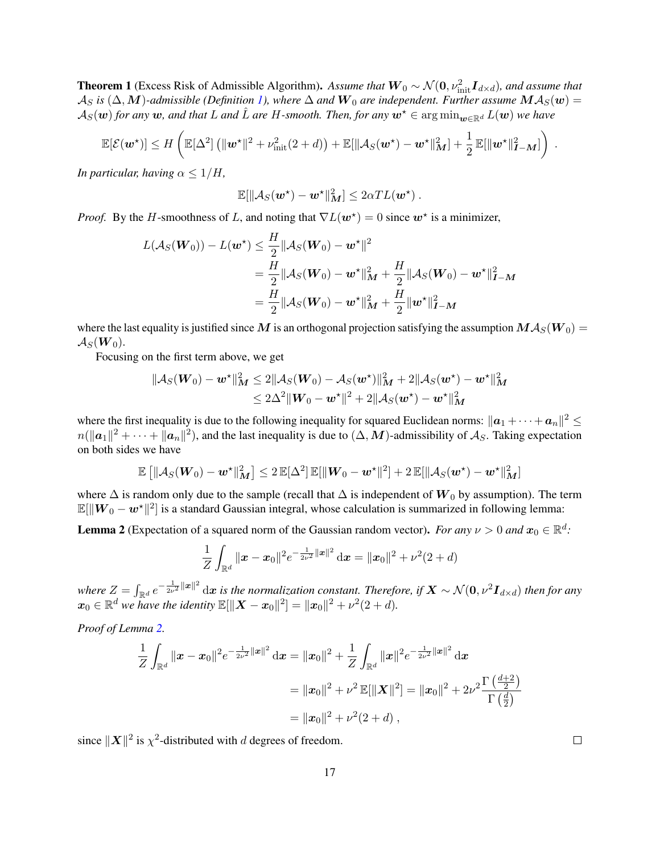**Theorem 1** (Excess Risk of Admissible Algorithm). Assume that  $W_0 \sim \mathcal{N}(0, \nu_{\text{init}}^2 \mathbf{I}_{d \times d})$ , and assume that  $\mathcal{A}_S$  *is* ( $\Delta$ , M)-admissible (Definition [1\)](#page-4-0), where  $\Delta$  and  $\mathbf{W}_0$  are independent. Further assume  $\mathbf{M}\mathcal{A}_S(\mathbf{w})=$  $\mathcal{A}_S(\omega)$  *for any* w, and that L and L are H-smooth. Then, for any  $\omega^* \in \arg \min_{\omega \in \mathbb{R}^d} L(\omega)$  we have

$$
\mathbb{E}[\mathcal{E}(\boldsymbol{w}^{\star})] \leq H\left(\mathbb{E}[\Delta^2] \left( \|\boldsymbol{w}^{\star}\|^2 + \nu_{\text{init}}^2(2+d) \right) + \mathbb{E}[\|\mathcal{A}_S(\boldsymbol{w}^{\star}) - \boldsymbol{w}^{\star}\|_M^2] + \frac{1}{2} \mathbb{E}[\|\boldsymbol{w}^{\star}\|_{I-M}^2] \right).
$$

*In particular, having*  $\alpha \leq 1/H$ *,* 

$$
\mathbb{E}[\|\mathcal{A}_S(\boldsymbol{w}^{\star})-\boldsymbol{w}^{\star}\|_{{\boldsymbol{M}}}^2]\leq 2\alpha T L(\boldsymbol{w}^{\star})\ .
$$

*Proof.* By the H-smoothness of L, and noting that  $\nabla L(w^*) = 0$  since  $w^*$  is a minimizer,

$$
L(\mathcal{A}_S(\mathbf{W}_0)) - L(\mathbf{w}^*) \le \frac{H}{2} ||\mathcal{A}_S(\mathbf{W}_0) - \mathbf{w}^*||^2
$$
  
=  $\frac{H}{2} ||\mathcal{A}_S(\mathbf{W}_0) - \mathbf{w}^*||_M^2 + \frac{H}{2} ||\mathcal{A}_S(\mathbf{W}_0) - \mathbf{w}^*||_I^2 - M$   
=  $\frac{H}{2} ||\mathcal{A}_S(\mathbf{W}_0) - \mathbf{w}^*||_M^2 + \frac{H}{2} ||\mathbf{w}^*||_I^2 - M$ 

where the last equality is justified since M is an orthogonal projection satisfying the assumption  $M A_S(W_0) =$  $\mathcal{A}_S(\boldsymbol{W}_0)$ .

Focusing on the first term above, we get

$$
\begin{aligned} \| {\cal A}_S(\bm{W}_0) - \bm{w}^\star \|_{{\boldsymbol{M}}}^2 &\leq 2 \| {\cal A}_S(\bm{W}_0) - {\cal A}_S(\bm{w}^\star) \|_{{\boldsymbol{M}}}^2 + 2 \| {\cal A}_S(\bm{w}^\star) - \bm{w}^\star \|_{{\boldsymbol{M}}}^2 \\ &\leq 2\Delta^2 \| \bm{W}_0 - \bm{w}^\star \|^2 + 2 \| {\cal A}_S(\bm{w}^\star) - \bm{w}^\star \|_{{\boldsymbol{M}}}^2 \end{aligned}
$$

where the first inequality is due to the following inequality for squared Euclidean norms:  $\|a_1 + \cdots + a_n\|^2 \le$  $n(||a_1||^2 + \cdots + ||a_n||^2)$ , and the last inequality is due to  $(\Delta, M)$ -admissibility of  $\mathcal{A}_S$ . Taking expectation on both sides we have

$$
\mathbb{E}\left[\left\|\mathcal{A}_S(\boldsymbol{W}_0)-\boldsymbol{w}^{\star}\right\|_{\boldsymbol{M}}^2\right] \leq 2 \mathbb{E}[\Delta^2] \, \mathbb{E}[\|\boldsymbol{W}_0-\boldsymbol{w}^{\star}\|^2] + 2 \, \mathbb{E}[\|\mathcal{A}_S(\boldsymbol{w}^{\star})-\boldsymbol{w}^{\star}\|_{\boldsymbol{M}}^2]
$$

where  $\Delta$  is random only due to the sample (recall that  $\Delta$  is independent of  $W_0$  by assumption). The term  $\mathbb{E}[\|W_0 - w^\star\|^2]$  is a standard Gaussian integral, whose calculation is summarized in following lemma:

<span id="page-16-0"></span>**Lemma 2** (Expectation of a squared norm of the Gaussian random vector). *For any*  $\nu > 0$  *and*  $x_0 \in \mathbb{R}^d$ .

$$
\frac{1}{Z}\int_{\mathbb{R}^d} \|x - x_0\|^2 e^{-\frac{1}{2\nu^2}\|x\|^2} dx = \|x_0\|^2 + \nu^2(2+d)
$$

where  $Z=\int_{\R^d}e^{-\frac{1}{2\nu^2}\|{\bm x}\|^2}\,\mathrm{d}{\bm x}$  is the normalization constant. Therefore, if  $\bm X\sim\mathcal{N}({\bm 0},\nu^2\bm I_{d\times d})$  then for any  $x_0 \in \mathbb{R}^d$  we have the identity  $\mathbb{E}[\|\bm{X} - \bm{x}_0\|^2] = \|\bm{x}_0\|^2 + \nu^2(2+d)$ .

*Proof of Lemma [2.](#page-16-0)*

$$
\frac{1}{Z} \int_{\mathbb{R}^d} \|x - x_0\|^2 e^{-\frac{1}{2\nu^2} \|x\|^2} dx = \|x_0\|^2 + \frac{1}{Z} \int_{\mathbb{R}^d} \|x\|^2 e^{-\frac{1}{2\nu^2} \|x\|^2} dx
$$
  
\n
$$
= \|x_0\|^2 + \nu^2 \mathbb{E}[\|X\|^2] = \|x_0\|^2 + 2\nu^2 \frac{\Gamma(\frac{d+2}{2})}{\Gamma(\frac{d}{2})}
$$
  
\n
$$
= \|x_0\|^2 + \nu^2 (2 + d) ,
$$

since  $\|\boldsymbol{X}\|^2$  is  $\chi^2$ -distributed with d degrees of freedom.

 $\Box$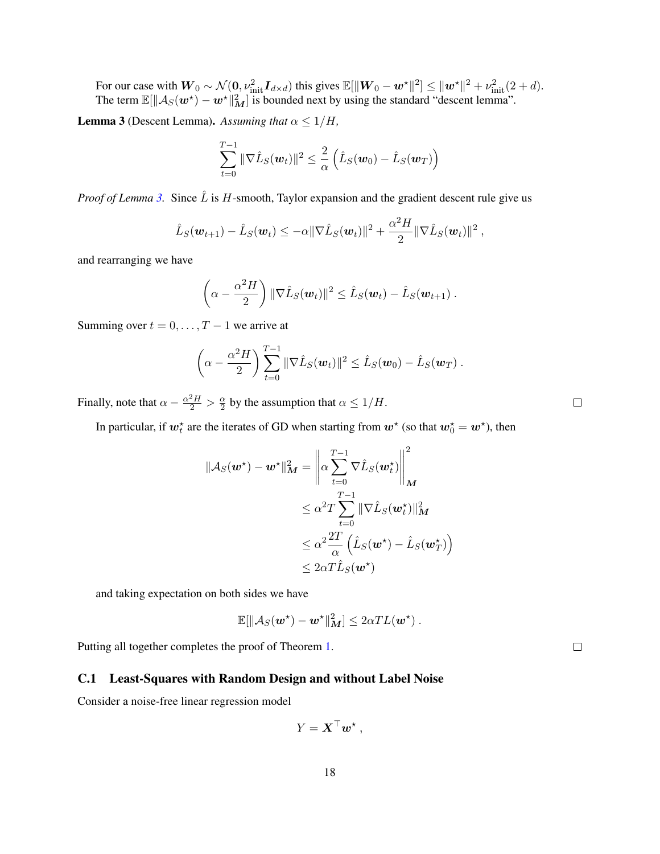For our case with  $W_0 \sim \mathcal{N}(0, \nu_{\text{init}}^2 \boldsymbol{I}_{d \times d})$  this gives  $\mathbb{E}[\|\boldsymbol{W}_0 - \boldsymbol{w}^{\star}\|^2] \leq \|\boldsymbol{w}^{\star}\|^2 + \nu_{\text{init}}^2 (2+d)$ . The term  $\mathbb{E}[\|\mathcal{A}_S(w^*) - w^*\|_M^2]$  is bounded next by using the standard "descent lemma".

<span id="page-17-0"></span>**Lemma 3** (Descent Lemma). Assuming that  $\alpha \leq 1/H$ ,

$$
\sum_{t=0}^{T-1} \|\nabla \hat{L}_S(\boldsymbol{w}_t)\|^2 \leq \frac{2}{\alpha} \left( \hat{L}_S(\boldsymbol{w}_0) - \hat{L}_S(\boldsymbol{w}_T) \right)
$$

*Proof of Lemma* [3.](#page-17-0) Since  $\hat{L}$  is H-smooth, Taylor expansion and the gradient descent rule give us

$$
\hat{L}_S(\boldsymbol{w}_{t+1}) - \hat{L}_S(\boldsymbol{w}_t) \leq -\alpha \|\nabla \hat{L}_S(\boldsymbol{w}_t)\|^2 + \frac{\alpha^2 H}{2} \|\nabla \hat{L}_S(\boldsymbol{w}_t)\|^2,
$$

and rearranging we have

$$
\left(\alpha-\frac{\alpha^2H}{2}\right) \|\nabla \hat{L}_S(\boldsymbol{w}_t)\|^2 \leq \hat{L}_S(\boldsymbol{w}_t) - \hat{L}_S(\boldsymbol{w}_{t+1}).
$$

Summing over  $t = 0, \ldots, T - 1$  we arrive at

$$
\left(\alpha-\frac{\alpha^2H}{2}\right)\sum_{t=0}^{T-1}\|\nabla \hat{L}_S(\boldsymbol{w}_t)\|^2\leq \hat{L}_S(\boldsymbol{w}_0)-\hat{L}_S(\boldsymbol{w}_T).
$$

Finally, note that  $\alpha - \frac{\alpha^2 H}{2} > \frac{\alpha}{2}$  $\frac{\alpha}{2}$  by the assumption that  $\alpha \leq 1/H$ .

In particular, if  $w_t^*$  are the iterates of GD when starting from  $w^*$  (so that  $w_0^* = w^*$ ), then

$$
\|\mathcal{A}_S(\mathbf{w}^*) - \mathbf{w}^*\|_{\mathbf{M}}^2 = \left\| \alpha \sum_{t=0}^{T-1} \nabla \hat{L}_S(\mathbf{w}_t^*) \right\|_{\mathbf{M}}^2
$$
  
\n
$$
\leq \alpha^2 T \sum_{t=0}^{T-1} \|\nabla \hat{L}_S(\mathbf{w}_t^*)\|_{\mathbf{M}}^2
$$
  
\n
$$
\leq \alpha^2 \frac{2T}{\alpha} \left( \hat{L}_S(\mathbf{w}^*) - \hat{L}_S(\mathbf{w}_T^*) \right)
$$
  
\n
$$
\leq 2\alpha T \hat{L}_S(\mathbf{w}^*)
$$

and taking expectation on both sides we have

$$
\mathbb{E}[\|\mathcal{A}_S(\boldsymbol{w}^\star)-\boldsymbol{w}^\star\|_{{\boldsymbol{M}}}^2]\leq 2\alpha T L(\boldsymbol{w}^\star)\ .
$$

Putting all together completes the proof of Theorem [1.](#page-4-1)

### C.1 Least-Squares with Random Design and without Label Noise

Consider a noise-free linear regression model

$$
Y = \mathbf{X}^\top \mathbf{w}^\star,
$$

 $\Box$ 

 $\Box$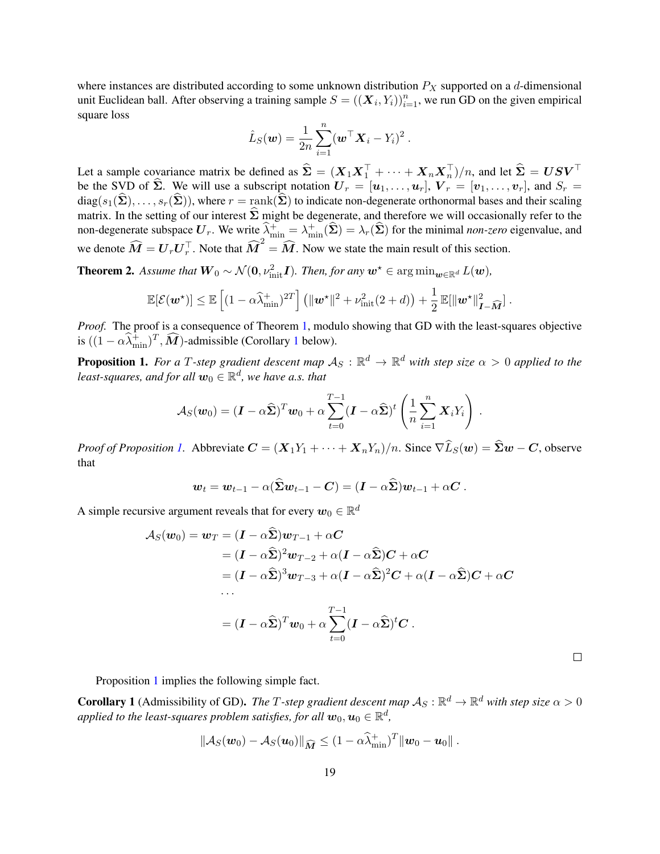where instances are distributed according to some unknown distribution  $P_X$  supported on a d-dimensional unit Euclidean ball. After observing a training sample  $S = ((X_i, Y_i))_{i=1}^n$ , we run GD on the given empirical square loss

$$
\hat{L}_S(\boldsymbol{w}) = \frac{1}{2n} \sum_{i=1}^n (\boldsymbol{w}^\top \boldsymbol{X}_i - Y_i)^2.
$$

Let a sample covariance matrix be defined as  $\hat{\Sigma} = (X_1 X_1^\top + \cdots + X_n X_n^\top)/n$ , and let  $\hat{\Sigma} = U S V^\top$ be the SVD of  $\hat{\Sigma}$ . We will use a subscript notation  $U_r = [u_1, \ldots, u_r]$ ,  $V_r = [v_1, \ldots, v_r]$ , and  $S_r =$  $diag(s_1(\hat{\Sigma}), \ldots, s_r(\hat{\Sigma}))$ , where  $r = \text{rank}(\hat{\Sigma})$  to indicate non-degenerate orthonormal bases and their scaling matrix. In the setting of our interest  $\hat{\Sigma}$  might be degenerate, and therefore we will occasionally refer to the non-degenerate subspace  $U_r$ . We write  $\hat{\lambda}^+_{\min} = \lambda^+_{\min}(\hat{\Sigma}) = \lambda_r(\hat{\Sigma})$  for the minimal *non-zero* eigenvalue, and we denote  $\widehat{M} = U_r U_r^{\top}$ . Note that  $\widehat{M}^2 = \widehat{M}$ . Now we state the main result of this section.

**Theorem 2.** Assume that  $W_0 \sim \mathcal{N}(0, \nu_{\text{init}}^2 I)$ . Then, for any  $w^* \in \arg \min_{w \in \mathbb{R}^d} L(w)$ ,

$$
\mathbb{E}[\mathcal{E}(\boldsymbol{w}^{\star})] \leq \mathbb{E}\left[(1-\alpha\widehat{\lambda}_{\min}^+)^{2T}\right] \left(\|\boldsymbol{w}^{\star}\|^2 + \nu_{\text{init}}^2(2+d)\right) + \frac{1}{2}\mathbb{E}[\|\boldsymbol{w}^{\star}\|_{\boldsymbol{I}-\widehat{\boldsymbol{M}}}^2].
$$

*Proof.* The proof is a consequence of Theorem [1,](#page-4-1) modulo showing that GD with the least-squares objective is  $((1 - \alpha \widehat{\lambda}_{\min}^+)^T, \widehat{M})$  $((1 - \alpha \widehat{\lambda}_{\min}^+)^T, \widehat{M})$  $((1 - \alpha \widehat{\lambda}_{\min}^+)^T, \widehat{M})$ -admissible (Corollary 1 below).

<span id="page-18-1"></span>**Proposition 1.** For a T-step gradient descent map  $A_S : \mathbb{R}^d \to \mathbb{R}^d$  with step size  $\alpha > 0$  applied to the least-squares, and for all  $\boldsymbol{w}_0 \in \mathbb{R}^d$ , we have a.s. that

$$
\mathcal{A}_S(\boldsymbol{w}_0)=(\boldsymbol{I}-\alpha\widehat{\boldsymbol{\Sigma}})^T\boldsymbol{w}_0+\alpha\sum_{t=0}^{T-1}(\boldsymbol{I}-\alpha\widehat{\boldsymbol{\Sigma}})^t\left(\frac{1}{n}\sum_{i=1}^n\boldsymbol{X}_iY_i\right).
$$

*Proof of Proposition [1.](#page-18-1)* Abbreviate  $C = (X_1Y_1 + \cdots + X_nY_n)/n$ . Since  $\nabla \widehat{L}_S(w) = \widehat{\Sigma}w - C$ , observe that

$$
\mathbf{w}_t = \mathbf{w}_{t-1} - \alpha(\widehat{\boldsymbol{\Sigma}} \mathbf{w}_{t-1} - \mathbf{C}) = (\mathbf{I} - \alpha \widehat{\boldsymbol{\Sigma}}) \mathbf{w}_{t-1} + \alpha \mathbf{C}.
$$

A simple recursive argument reveals that for every  $w_0 \in \mathbb{R}^d$ 

$$
\mathcal{A}_S(\boldsymbol{w}_0) = \boldsymbol{w}_T = (\boldsymbol{I} - \alpha \boldsymbol{\Sigma}) \boldsymbol{w}_{T-1} + \alpha \boldsymbol{C}
$$
\n
$$
= (\boldsymbol{I} - \alpha \boldsymbol{\hat{\Sigma}})^2 \boldsymbol{w}_{T-2} + \alpha (\boldsymbol{I} - \alpha \boldsymbol{\hat{\Sigma}}) \boldsymbol{C} + \alpha \boldsymbol{C}
$$
\n
$$
= (\boldsymbol{I} - \alpha \boldsymbol{\hat{\Sigma}})^3 \boldsymbol{w}_{T-3} + \alpha (\boldsymbol{I} - \alpha \boldsymbol{\hat{\Sigma}})^2 \boldsymbol{C} + \alpha (\boldsymbol{I} - \alpha \boldsymbol{\hat{\Sigma}}) \boldsymbol{C} + \alpha \boldsymbol{C}
$$
\n
$$
\dots
$$
\n
$$
= (\boldsymbol{I} - \alpha \boldsymbol{\hat{\Sigma}})^T \boldsymbol{w}_0 + \alpha \sum_{t=0}^{T-1} (\boldsymbol{I} - \alpha \boldsymbol{\hat{\Sigma}})^t \boldsymbol{C}.
$$

 $\Box$ 

Proposition [1](#page-18-1) implies the following simple fact.

<span id="page-18-0"></span>**Corollary 1** (Admissibility of GD). The T-step gradient descent map  $A_S : \mathbb{R}^d \to \mathbb{R}^d$  with step size  $\alpha > 0$ applied to the least-squares problem satisfies, for all  $\bm{w}_0, \bm{u}_0 \in \mathbb{R}^d,$ 

$$
\|\mathcal{A}_S(\boldsymbol{w}_0)-\mathcal{A}_S(\boldsymbol{u}_0)\|_{\widehat{\boldsymbol{M}}} \leq (1-\alpha\widehat{\lambda}_{\min}^+)^T\|\boldsymbol{w}_0-\boldsymbol{u}_0\|.
$$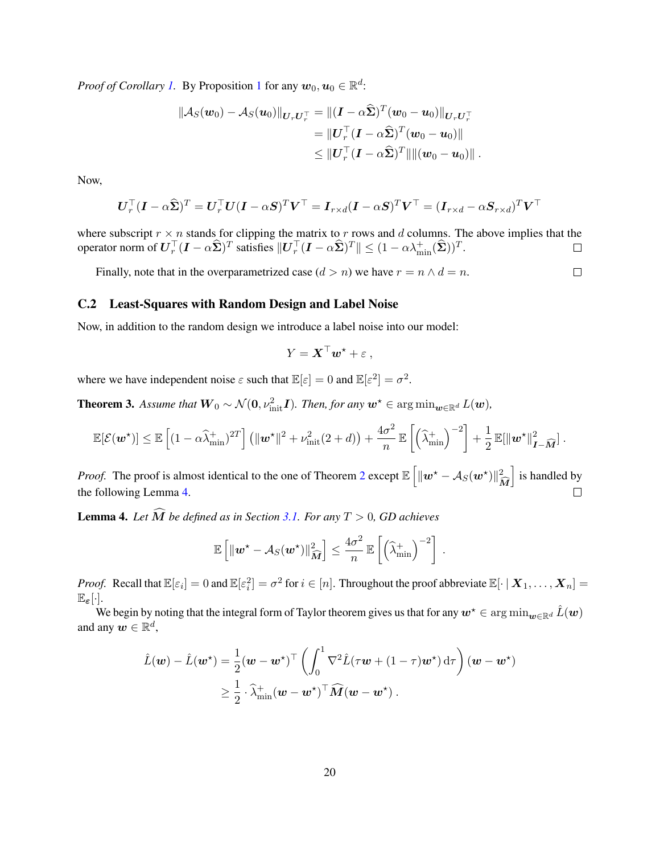*Proof of Corollary [1.](#page-18-0)* By Proposition [1](#page-18-1) for any  $w_0, u_0 \in \mathbb{R}^d$ :

$$
\begin{aligned} \|\mathcal{A}_S(\boldsymbol{w}_0)-\mathcal{A}_S(\boldsymbol{u}_0)\|_{\boldsymbol{U}_r\boldsymbol{U}_r^\top}&=\|(\boldsymbol{I}-\alpha\widehat{\boldsymbol{\Sigma}})^T(\boldsymbol{w}_0-\boldsymbol{u}_0)\|_{\boldsymbol{U}_r\boldsymbol{U}_r^\top}\\ &=\|\boldsymbol{U}_r^\top(\boldsymbol{I}-\alpha\widehat{\boldsymbol{\Sigma}})^T(\boldsymbol{w}_0-\boldsymbol{u}_0)\|\\ &\leq \|\boldsymbol{U}_r^\top(\boldsymbol{I}-\alpha\widehat{\boldsymbol{\Sigma}})^T\|\|(\boldsymbol{w}_0-\boldsymbol{u}_0)\|\ . \end{aligned}
$$

Now,

$$
\boldsymbol{U}_r^\top (\boldsymbol{I}-\alpha\widehat{\boldsymbol{\Sigma}})^T = \boldsymbol{U}_r^\top \boldsymbol{U} (\boldsymbol{I}-\alpha\boldsymbol{S})^T \boldsymbol{V}^\top = \boldsymbol{I}_{r\times d} (\boldsymbol{I}-\alpha\boldsymbol{S})^T \boldsymbol{V}^\top = (\boldsymbol{I}_{r\times d}-\alpha\boldsymbol{S}_{r\times d})^T \boldsymbol{V}^\top
$$

where subscript  $r \times n$  stands for clipping the matrix to r rows and d columns. The above implies that the operator norm of  $\boldsymbol{U}_r^\top (\boldsymbol{I}-\alpha \widehat{\boldsymbol{\Sigma}})^T$  satisfies  $\|\boldsymbol{U}_r^\top (\boldsymbol{I}-\alpha \widehat{\boldsymbol{\Sigma}})^T\| \leq (1-\alpha \lambda_{\min}^+(\widehat{\boldsymbol{\Sigma}}))^T$ .  $\Box$ 

 $\Box$ 

Finally, note that in the overparametrized case  $(d > n)$  we have  $r = n \wedge d = n$ .

### <span id="page-19-1"></span>C.2 Least-Squares with Random Design and Label Noise

Now, in addition to the random design we introduce a label noise into our model:

$$
Y = \mathbf{X}^\top \mathbf{w}^* + \varepsilon \;,
$$

where we have independent noise  $\varepsilon$  such that  $\mathbb{E}[\varepsilon] = 0$  and  $\mathbb{E}[\varepsilon^2] = \sigma^2$ .

**Theorem 3.** Assume that  $W_0 \sim \mathcal{N}(0, \nu_{\text{init}}^2 I)$ . Then, for any  $w^* \in \arg \min_{w \in \mathbb{R}^d} L(w)$ ,

$$
\mathbb{E}[\mathcal{E}(\boldsymbol{w}^{\star})] \leq \mathbb{E}\left[ (1-\alpha\widehat{\lambda}_{\min}^+)^{2T} \right] \left( \|\boldsymbol{w}^{\star}\|^2 + \nu_{\text{init}}^2 (2+d) \right) + \frac{4\sigma^2}{n} \mathbb{E}\left[ \left( \widehat{\lambda}_{\min}^+ \right)^{-2} \right] + \frac{1}{2} \mathbb{E}[\|\boldsymbol{w}^{\star}\|_{\boldsymbol{I}-\widehat{\boldsymbol{M}}}^2].
$$

*Proof.* The proof is almost identical to the one of Theorem [2](#page-5-1) except  $\mathbb{E} \left[ \|\boldsymbol{w}^* - A_S(\boldsymbol{w}^*)\|_2^2 \right]$ i is handled by  $\boldsymbol{M}$ the following Lemma [4.](#page-19-0)  $\Box$ 

<span id="page-19-0"></span>**Lemma 4.** Let  $\widehat{M}$  be defined as in Section [3.1.](#page-5-0) For any  $T > 0$ , GD achieves

$$
\mathbb{E}\left[\|\boldsymbol{w}^{\star}-\mathcal{A}_{S}(\boldsymbol{w}^{\star})\|_{\widehat{\boldsymbol{M}}}^{2}\right] \leq \frac{4\sigma^{2}}{n} \mathbb{E}\left[\left(\widehat{\lambda}_{\min}^{+}\right)^{-2}\right].
$$

*Proof.* Recall that  $\mathbb{E}[\varepsilon_i] = 0$  and  $\mathbb{E}[\varepsilon_i^2] = \sigma^2$  for  $i \in [n]$ . Throughout the proof abbreviate  $\mathbb{E}[\cdot | X_1, \dots, X_n] =$  $\mathbb{E}_{\varepsilon}[\cdot].$ 

We begin by noting that the integral form of Taylor theorem gives us that for any  $w^* \in \arg\min_{w \in \mathbb{R}^d} \hat{L}(w)$ and any  $\boldsymbol{w} \in \mathbb{R}^d$ ,

$$
\hat{L}(\boldsymbol{w}) - \hat{L}(\boldsymbol{w}^{\star}) = \frac{1}{2} (\boldsymbol{w} - \boldsymbol{w}^{\star})^{\top} \left( \int_0^1 \nabla^2 \hat{L}(\tau \boldsymbol{w} + (1 - \tau) \boldsymbol{w}^{\star}) d\tau \right) (\boldsymbol{w} - \boldsymbol{w}^{\star})
$$
\n
$$
\geq \frac{1}{2} \cdot \hat{\lambda}^+_{\min} (\boldsymbol{w} - \boldsymbol{w}^{\star})^{\top} \widehat{M} (\boldsymbol{w} - \boldsymbol{w}^{\star}).
$$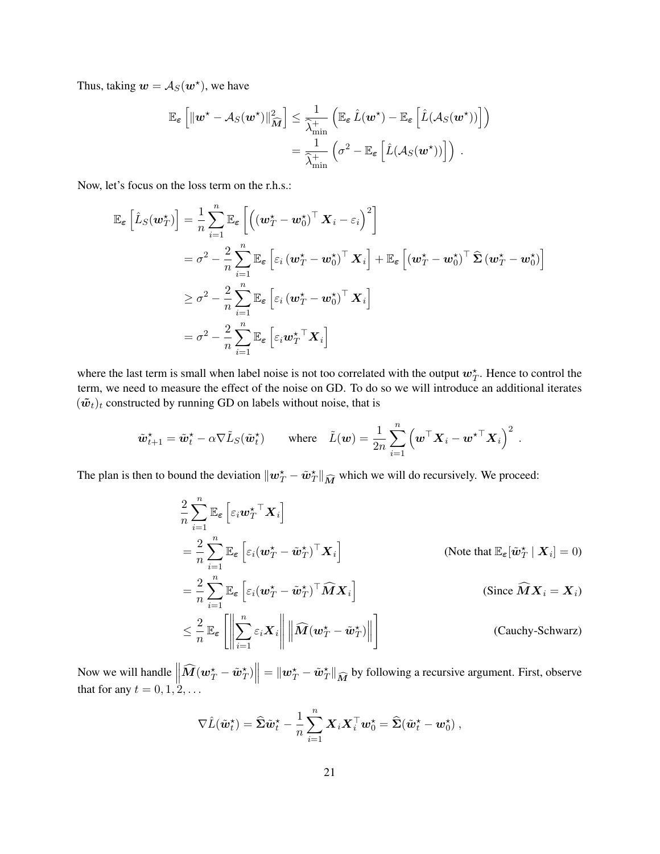Thus, taking  $\mathbf{w} = \mathcal{A}_S(\mathbf{w}^*)$ , we have

$$
\mathbb{E}_{\varepsilon}\left[\|\boldsymbol{w}^{\star}-\mathcal{A}_{S}(\boldsymbol{w}^{\star})\|_{\widehat{M}}^{2}\right] \leq \frac{1}{\widehat{\lambda}^{+}_{\min}}\left(\mathbb{E}_{\varepsilon}\,\hat{L}(\boldsymbol{w}^{\star})-\mathbb{E}_{\varepsilon}\left[\hat{L}(\mathcal{A}_{S}(\boldsymbol{w}^{\star}))\right]\right) \n= \frac{1}{\widehat{\lambda}^{+}_{\min}}\left(\sigma^{2}-\mathbb{E}_{\varepsilon}\left[\hat{L}(\mathcal{A}_{S}(\boldsymbol{w}^{\star}))\right]\right).
$$

Now, let's focus on the loss term on the r.h.s.:

$$
\mathbb{E}_{\boldsymbol{\varepsilon}}\left[\hat{L}_{S}(\boldsymbol{w}_{T}^{\star})\right] = \frac{1}{n} \sum_{i=1}^{n} \mathbb{E}_{\boldsymbol{\varepsilon}}\left[\left((\boldsymbol{w}_{T}^{\star} - \boldsymbol{w}_{0}^{\star})^{\top} \boldsymbol{X}_{i} - \varepsilon_{i}\right)^{2}\right] \n= \sigma^{2} - \frac{2}{n} \sum_{i=1}^{n} \mathbb{E}_{\boldsymbol{\varepsilon}}\left[\varepsilon_{i} (\boldsymbol{w}_{T}^{\star} - \boldsymbol{w}_{0}^{\star})^{\top} \boldsymbol{X}_{i}\right] + \mathbb{E}_{\boldsymbol{\varepsilon}}\left[(\boldsymbol{w}_{T}^{\star} - \boldsymbol{w}_{0}^{\star})^{\top} \widehat{\boldsymbol{\Sigma}} (\boldsymbol{w}_{T}^{\star} - \boldsymbol{w}_{0}^{\star})\right] \n\geq \sigma^{2} - \frac{2}{n} \sum_{i=1}^{n} \mathbb{E}_{\boldsymbol{\varepsilon}}\left[\varepsilon_{i} (\boldsymbol{w}_{T}^{\star} - \boldsymbol{w}_{0}^{\star})^{\top} \boldsymbol{X}_{i}\right] \n= \sigma^{2} - \frac{2}{n} \sum_{i=1}^{n} \mathbb{E}_{\boldsymbol{\varepsilon}}\left[\varepsilon_{i} \boldsymbol{w}_{T}^{\star} \mathbb{T} \boldsymbol{X}_{i}\right]
$$

where the last term is small when label noise is not too correlated with the output  $w_T^*$ . Hence to control the term, we need to measure the effect of the noise on GD. To do so we will introduce an additional iterates  $(\tilde{\boldsymbol{w}}_t)_t$  constructed by running GD on labels without noise, that is

$$
\tilde{\boldsymbol{w}}_{t+1}^{\star} = \tilde{\boldsymbol{w}}_t^{\star} - \alpha \nabla \tilde{L}_S(\tilde{\boldsymbol{w}}_t^{\star}) \qquad \text{where} \quad \tilde{L}(\boldsymbol{w}) = \frac{1}{2n} \sum_{i=1}^n \left( \boldsymbol{w}^\top \boldsymbol{X}_i - \boldsymbol{w}^{\star \top} \boldsymbol{X}_i \right)^2 \; .
$$

The plan is then to bound the deviation  $\|\boldsymbol{w}_T^{\star} - \tilde{\boldsymbol{w}}_T^{\star}\|_{\widehat{M}}$  which we will do recursively. We proceed:

$$
\frac{2}{n} \sum_{i=1}^{n} \mathbb{E}_{\varepsilon} \left[ \varepsilon_{i} \boldsymbol{w}_{T}^{\star \top} \boldsymbol{X}_{i} \right]
$$
\n
$$
= \frac{2}{n} \sum_{i=1}^{n} \mathbb{E}_{\varepsilon} \left[ \varepsilon_{i} (\boldsymbol{w}_{T}^{\star} - \tilde{\boldsymbol{w}}_{T}^{\star})^{\top} \boldsymbol{X}_{i} \right]
$$
\n(Note that  $\mathbb{E}_{\varepsilon} [\tilde{\boldsymbol{w}}_{T}^{\star} | \boldsymbol{X}_{i}] = 0$ )\n
$$
= \frac{2}{n} \sum_{i=1}^{n} \mathbb{E}_{\varepsilon} \left[ \varepsilon_{i} (\boldsymbol{w}_{T}^{\star} - \tilde{\boldsymbol{w}}_{T}^{\star})^{\top} \widehat{\boldsymbol{M}} \boldsymbol{X}_{i} \right]
$$
\n(Since  $\widehat{\boldsymbol{M}} \boldsymbol{X}_{i} = \boldsymbol{X}_{i}$ )\n
$$
\leq \frac{2}{n} \mathbb{E}_{\varepsilon} \left[ \left\| \sum_{i=1}^{n} \varepsilon_{i} \boldsymbol{X}_{i} \right\| \left\| \widehat{\boldsymbol{M}} (\boldsymbol{w}_{T}^{\star} - \tilde{\boldsymbol{w}}_{T}^{\star}) \right\| \right]
$$
\n(Cauchy-Schwarz)

Now we will handle  $\left\| \widehat{\mathbf{M}}(\boldsymbol{w}_T^{\star} - \tilde{\boldsymbol{w}}_T^{\star}) \right\| = \|\boldsymbol{w}_T^{\star} - \tilde{\boldsymbol{w}}_T^{\star}\|_{\widehat{\mathbf{M}}}$  by following a recursive argument. First, observe that for any  $t = 0, 1, 2, \ldots$ 

$$
\nabla \hat{L}(\tilde{\boldsymbol{w}}_t^{\star}) = \hat{\boldsymbol{\Sigma}} \tilde{\boldsymbol{w}}_t^{\star} - \frac{1}{n} \sum_{i=1}^n \boldsymbol{X}_i \boldsymbol{X}_i^{\top} \boldsymbol{w}_0^{\star} = \hat{\boldsymbol{\Sigma}} (\tilde{\boldsymbol{w}}_t^{\star} - \boldsymbol{w}_0^{\star}),
$$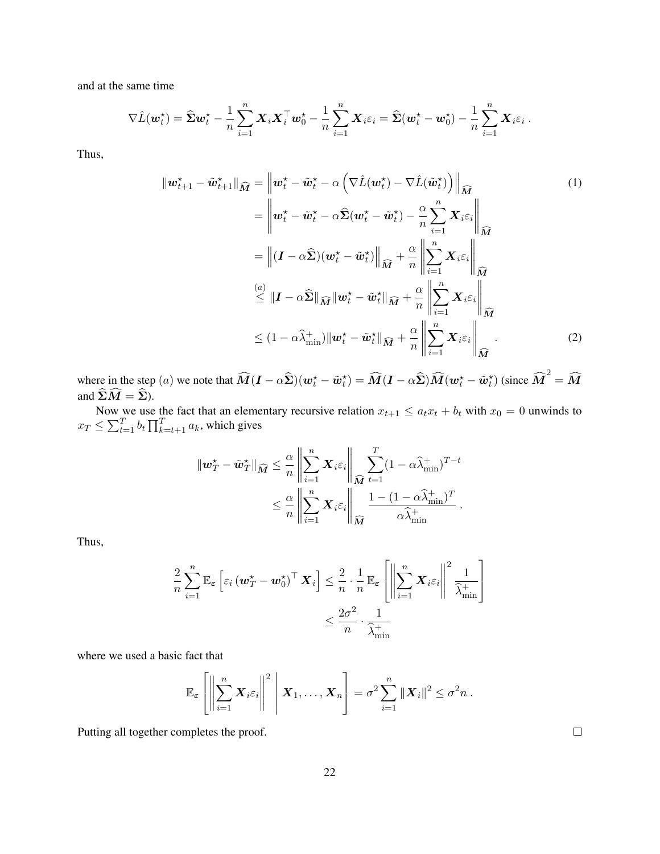and at the same time

$$
\nabla \hat{L}(\boldsymbol{w}_t^{\star}) = \hat{\boldsymbol{\Sigma}} \boldsymbol{w}_t^{\star} - \frac{1}{n} \sum_{i=1}^n \boldsymbol{X}_i \boldsymbol{X}_i^{\top} \boldsymbol{w}_0^{\star} - \frac{1}{n} \sum_{i=1}^n \boldsymbol{X}_i \varepsilon_i = \hat{\boldsymbol{\Sigma}} (\boldsymbol{w}_t^{\star} - \boldsymbol{w}_0^{\star}) - \frac{1}{n} \sum_{i=1}^n \boldsymbol{X}_i \varepsilon_i.
$$

Thus,

$$
\|\boldsymbol{w}_{t+1}^{\star} - \tilde{\boldsymbol{w}}_{t+1}^{\star}\|_{\widehat{M}} = \left\|\boldsymbol{w}_{t}^{\star} - \tilde{\boldsymbol{w}}_{t}^{\star} - \alpha \left(\nabla \hat{L}(\boldsymbol{w}_{t}^{\star}) - \nabla \hat{L}(\tilde{\boldsymbol{w}}_{t}^{\star})\right)\right\|_{\widehat{M}}
$$
\n
$$
= \left\|\boldsymbol{w}_{t}^{\star} - \tilde{\boldsymbol{w}}_{t}^{\star} - \alpha \hat{\boldsymbol{\Sigma}}(\boldsymbol{w}_{t}^{\star} - \tilde{\boldsymbol{w}}_{t}^{\star}) - \frac{\alpha}{n} \sum_{i=1}^{n} \boldsymbol{X}_{i} \varepsilon_{i}\right\|_{\widehat{M}}
$$
\n
$$
= \left\|\left(\boldsymbol{I} - \alpha \hat{\boldsymbol{\Sigma}}\right)(\boldsymbol{w}_{t}^{\star} - \tilde{\boldsymbol{w}}_{t}^{\star})\right\|_{\widehat{M}} + \frac{\alpha}{n} \left\|\sum_{i=1}^{n} \boldsymbol{X}_{i} \varepsilon_{i}\right\|_{\widehat{M}}
$$
\n
$$
\stackrel{(a)}{\leq} \|\boldsymbol{I} - \alpha \hat{\boldsymbol{\Sigma}}\|_{\widehat{M}} \|\boldsymbol{w}_{t}^{\star} - \tilde{\boldsymbol{w}}_{t}^{\star}\|_{\widehat{M}} + \frac{\alpha}{n} \left\|\sum_{i=1}^{n} \boldsymbol{X}_{i} \varepsilon_{i}\right\|_{\widehat{M}}
$$
\n
$$
\leq (1 - \alpha \hat{\lambda}_{\min}^{\star}) \|\boldsymbol{w}_{t}^{\star} - \tilde{\boldsymbol{w}}_{t}^{\star}\|_{\widehat{M}} + \frac{\alpha}{n} \left\|\sum_{i=1}^{n} \boldsymbol{X}_{i} \varepsilon_{i}\right\|_{\widehat{M}}
$$
\n(2)

where in the step (a) we note that  $\widehat{M}(I - \alpha \widehat{\Sigma})(w_t^* - \tilde{w}_t^*) = \widehat{M}(I - \alpha \widehat{\Sigma})\widehat{M}(w_t^* - \tilde{w}_t^*)$  (since  $\widehat{M}^2 = \widehat{M}$ and  $\widehat{\boldsymbol{\Sigma}}\widehat{\boldsymbol{M}} = \widehat{\boldsymbol{\Sigma}}$ ).

Now we use the fact that an elementary recursive relation  $x_{t+1} \le a_t x_t + b_t$  with  $x_0 = 0$  unwinds to  $x_T \le \sum_{t=1}^T b_t \prod_{k=t+1}^T a_k$ , which gives

$$
\|\mathbf{w}_T^{\star} - \tilde{\mathbf{w}}_T^{\star}\|_{\widehat{M}} \leq \frac{\alpha}{n} \left\|\sum_{i=1}^n \mathbf{X}_i \varepsilon_i\right\|_{\widehat{M}} \sum_{t=1}^T (1 - \alpha \widehat{\lambda}_{\min}^+)^{T-t}
$$
  

$$
\leq \frac{\alpha}{n} \left\|\sum_{i=1}^n \mathbf{X}_i \varepsilon_i\right\|_{\widehat{M}} \frac{1 - (1 - \alpha \widehat{\lambda}_{\min}^+)^T}{\alpha \widehat{\lambda}_{\min}^+}.
$$

Thus,

$$
\frac{2}{n} \sum_{i=1}^{n} \mathbb{E}_{\boldsymbol{\varepsilon}} \left[ \varepsilon_{i} \left( \boldsymbol{w}_{T}^{\star} - \boldsymbol{w}_{0}^{\star} \right)^{\top} \boldsymbol{X}_{i} \right] \leq \frac{2}{n} \cdot \frac{1}{n} \mathbb{E}_{\boldsymbol{\varepsilon}} \left[ \left\| \sum_{i=1}^{n} \boldsymbol{X}_{i} \varepsilon_{i} \right\|^{2} \frac{1}{\widehat{\lambda}_{\min}^{+}} \right] \leq \frac{2\sigma^{2}}{n} \cdot \frac{1}{\widehat{\lambda}_{\min}^{+}}
$$

where we used a basic fact that

$$
\mathbb{E}_{\boldsymbol{\varepsilon}}\left[\left\|\sum_{i=1}^n \boldsymbol{X}_i \varepsilon_i\right\|^2 \,\middle\|\, \boldsymbol{X}_1,\ldots,\boldsymbol{X}_n\right] = \sigma^2 \sum_{i=1}^n \|\boldsymbol{X}_i\|^2 \leq \sigma^2 n.
$$

Putting all together completes the proof.

 $\Box$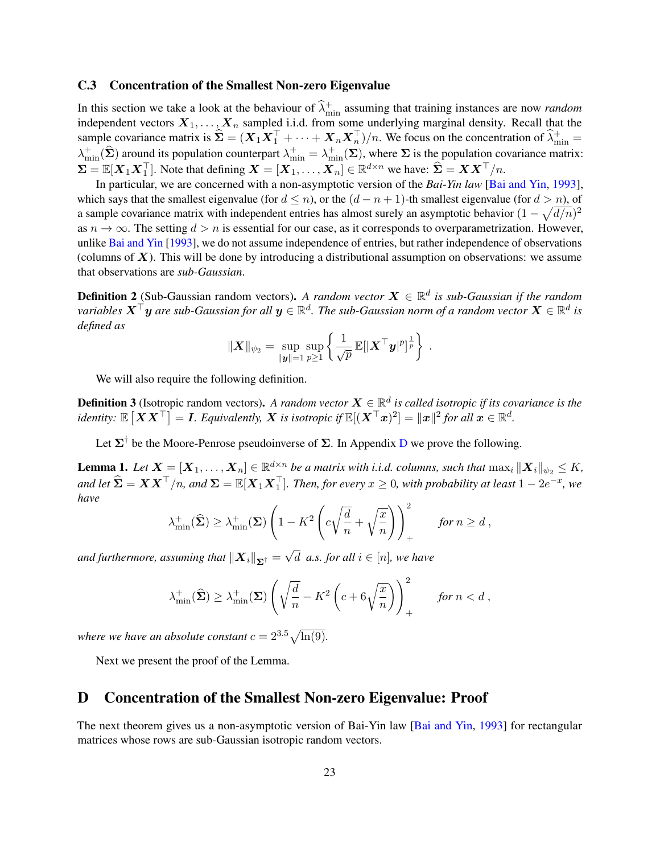#### C.3 Concentration of the Smallest Non-zero Eigenvalue

In this section we take a look at the behaviour of  $\hat{\lambda}^+_{\text{min}}$  assuming that training instances are now *random* independent vectors  $X_1, \ldots, X_n$  sampled i.i.d. from some underlying marginal density. Recall that the sample covariance matrix is  $\hat{\Sigma} = (X_1 X_1^\top + \cdots + X_n X_n^\top)/n$ . We focus on the concentration of  $\hat{\lambda}_{\min}^+ =$  $\lambda_{\min}^+(\hat{\Sigma})$  around its population counterpart  $\lambda_{\min}^+ = \lambda_{\min}^+(\Sigma)$ , where  $\Sigma$  is the population covariance matrix:  $\Sigma = \mathbb{E}[X_1 X_1^{\top}]$ . Note that defining  $X = [X_1, \dots, X_n] \in \mathbb{R}^{d \times n}$  we have:  $\hat{\Sigma} = X X^{\top}/n$ .

In particular, we are concerned with a non-asymptotic version of the *Bai-Yin law* [\[Bai and Yin,](#page-13-0) [1993\]](#page-13-0), which says that the smallest eigenvalue (for  $d \leq n$ ), or the  $(d - n + 1)$ -th smallest eigenvalue (for  $d > n$ ), of a sample covariance matrix with independent entries has almost surely an asymptotic behavior  $(1 - \sqrt{d/n})^2$ as  $n \to \infty$ . The setting  $d > n$  is essential for our case, as it corresponds to overparametrization. However, unlike [Bai and Yin](#page-13-0) [\[1993\]](#page-13-0), we do not assume independence of entries, but rather independence of observations (columns of  $X$ ). This will be done by introducing a distributional assumption on observations: we assume that observations are *sub-Gaussian*.

**Definition 2** (Sub-Gaussian random vectors). A random vector  $X \in \mathbb{R}^d$  is sub-Gaussian if the random variables  $\bm{X}^\top \bm{y}$  are sub-Gaussian for all  $\bm{y} \in \mathbb{R}^d$ . The sub-Gaussian norm of a random vector  $\bm{X} \in \mathbb{R}^d$  is *defined as*

$$
\|\boldsymbol{X}\|_{\psi_2} = \sup_{\|\boldsymbol{y}\|=1} \sup_{p\geq 1} \left\{ \frac{1}{\sqrt{p}} \mathbb{E}[\|\boldsymbol{X}^\top \boldsymbol{y}|^p]^{\frac{1}{p}} \right\}.
$$

We will also require the following definition.

**Definition 3** (Isotropic random vectors). A random vector  $X \in \mathbb{R}^d$  is called isotropic if its covariance is the identity:  $\mathbb{E}\left[\boldsymbol{X}\boldsymbol{X}^\top\right]=\boldsymbol{I}.$  Equivalently,  $\boldsymbol{X}$  is isotropic if  $\mathbb{E}[(\boldsymbol{X}^\top \boldsymbol{x})^2]=\|\boldsymbol{x}\|^2$  for all  $\boldsymbol{x}\in\mathbb{R}^d.$ 

Let  $\Sigma^{\dagger}$  be the Moore-Penrose pseudoinverse of  $\Sigma$ . In Appendix [D](#page-22-0) we prove the following.

**Lemma 1.** Let  $\boldsymbol{X} = [\boldsymbol{X}_1,\ldots,\boldsymbol{X}_n] \in \mathbb{R}^{d \times n}$  be a matrix with i.i.d. columns, such that  $\max_i \|\boldsymbol{X}_i\|_{\psi_2} \leq K$ ,  $a$ nd let  $\widehat{\mathbf{\Sigma}} = \bm{X} \bm{X}^\top/n$ , and  $\bm{\Sigma} = \mathbb{E}[\bm{X}_1 \bm{X}_1^\top]$ . Then, for every  $x \geq 0$ , with probability at least  $1 - 2e^{-x}$ , we *have*

$$
\lambda_{\min}^+(\widehat{\boldsymbol{\Sigma}}) \ge \lambda_{\min}^+(\boldsymbol{\Sigma}) \left(1 - K^2 \left(c\sqrt{\frac{d}{n}} + \sqrt{\frac{x}{n}}\right)\right)_+^2 \quad \text{for } n \ge d,
$$

and furthermore, assuming that  $\left\| \boldsymbol{X}_{i}\right\| _{\mathbf{\Sigma}^{\dagger}}=% \mathbf{I}_{i}$  $d \text{ } a.s. \text{ for all } i \in [n], \text{ we have}$ 

$$
\lambda^+_{\min}(\widehat{\boldsymbol{\Sigma}}) \ge \lambda^+_{\min}(\boldsymbol{\Sigma}) \left( \sqrt{\frac{d}{n}} - K^2 \left( c + 6\sqrt{\frac{x}{n}} \right) \right)_+^2 \quad \text{for } n < d,
$$

*where we have an absolute constant*  $c = 2^{3.5}\sqrt{\ln(9)}$ *.* 

Next we present the proof of the Lemma.

### <span id="page-22-0"></span>D Concentration of the Smallest Non-zero Eigenvalue: Proof

<span id="page-22-1"></span>The next theorem gives us a non-asymptotic version of Bai-Yin law [\[Bai and Yin,](#page-13-0) [1993\]](#page-13-0) for rectangular matrices whose rows are sub-Gaussian isotropic random vectors.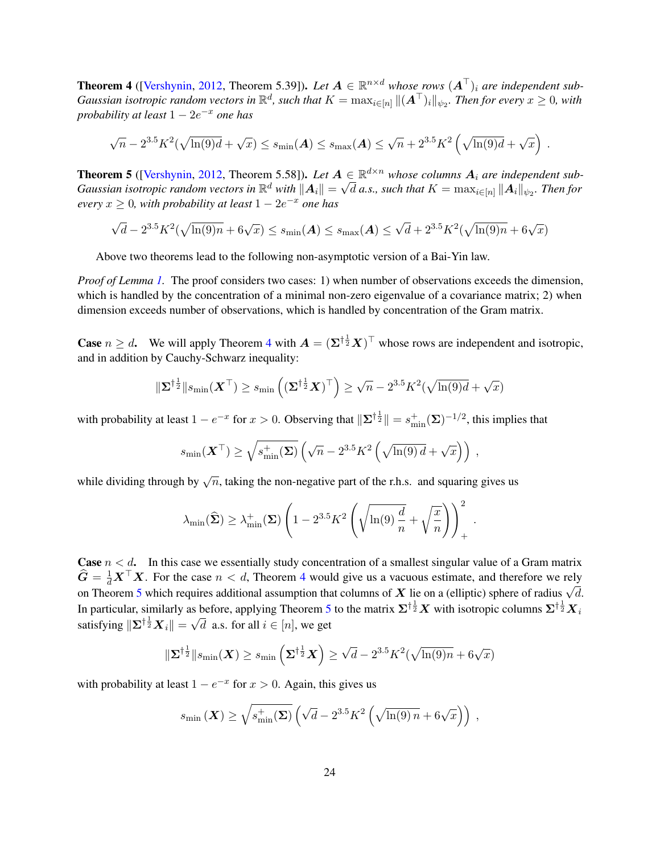**Theorem 4** ([\[Vershynin,](#page-12-15) [2012,](#page-12-15) Theorem 5.39]). Let  $A \in \mathbb{R}^{n \times d}$  whose rows  $(A^{\top})_i$  are independent sub-Gaussian isotropic random vectors in  $\R^d$ , such that  $K=\max_{i\in[n]}\|(A^\top)_i\|_{\psi_2}.$  Then for every  $x\geq 0$ , with *probability at least* 1 − 2e <sup>−</sup><sup>x</sup> *one has*

$$
\sqrt{n} - 2^{3.5} K^2(\sqrt{\ln(9)d} + \sqrt{x}) \le s_{\min}(\boldsymbol{A}) \le s_{\max}(\boldsymbol{A}) \le \sqrt{n} + 2^{3.5} K^2(\sqrt{\ln(9)d} + \sqrt{x})
$$

.

<span id="page-23-0"></span>**Theorem 5** ([\[Vershynin,](#page-12-15) [2012,](#page-12-15) Theorem 5.58]). Let  $A \in \mathbb{R}^{d \times n}$  whose columns  $A_i$  are independent sub- $Gaussian$  *isotropic random vectors in*  $\R^d$  *with*  $\|\bm{A}_i\|=\sqrt{d}$  *a.s., such that*  $K=\max_{i\in[n]}\|\bm{A}_i\|_{\psi_2}.$  *Then for*  $every\ x \geq 0$ , with probability at least  $1 - 2e^{-x}$  one has

√  $\overline{d} - 2^{3.5} K^2(\sqrt{\ln(9)n} + 6\sqrt{x}) \leq s_{\min}(\boldsymbol{A}) \leq s_{\max}(\boldsymbol{A}) \leq$  $\sqrt{d} + 2^{3.5} K^2(\sqrt{\ln(9)n} + 6\sqrt{x})$ 

Above two theorems lead to the following non-asymptotic version of a Bai-Yin law.

*Proof of Lemma [1.](#page-6-5)* The proof considers two cases: 1) when number of observations exceeds the dimension, which is handled by the concentration of a minimal non-zero eigenvalue of a covariance matrix; 2) when dimension exceeds number of observations, which is handled by concentration of the Gram matrix.

**Case**  $n \geq d$ . We will apply Theorem [4](#page-22-1) with  $A = (\Sigma^{\dagger \frac{1}{2}} X)^{\top}$  whose rows are independent and isotropic, and in addition by Cauchy-Schwarz inequality:

$$
\|\boldsymbol{\Sigma}^{\dagger\frac{1}{2}}\|s_{\text{min}}(\boldsymbol{X}^{\top})\geq s_{\text{min}}\left((\boldsymbol{\Sigma}^{\dagger\frac{1}{2}}\boldsymbol{X})^{\top}\right)\geq \sqrt{n}-2^{3.5}K^2(\sqrt{\ln(9)d}+\sqrt{x})
$$

with probability at least  $1 - e^{-x}$  for  $x > 0$ . Observing that  $\|\Sigma^{\dagger \frac{1}{2}}\| = s_{\min}^+(\Sigma)^{-1/2}$ , this implies that

$$
s_{\min}(\mathbf{X}^{\top}) \ge \sqrt{s_{\min}^{+}(\boldsymbol{\Sigma})} \left( \sqrt{n} - 2^{3.5} K^2 \left( \sqrt{\ln(9) d} + \sqrt{x} \right) \right) ,
$$

while dividing through by  $\sqrt{n}$ , taking the non-negative part of the r.h.s. and squaring gives us

$$
\lambda_{\min}(\widehat{\boldsymbol{\Sigma}}) \geq \lambda_{\min}^+(\boldsymbol{\Sigma}) \left(1 - 2^{3.5} K^2 \left(\sqrt{\ln(9) \frac{d}{n}} + \sqrt{\frac{x}{n}}\right)\right)_+^2.
$$

**Case**  $n < d$ . In this case we essentially study concentration of a smallest singular value of a Gram matrix  $\hat{G} = \frac{1}{d}X^{\top}X$ . For the case  $n < d$ , Theorem [4](#page-22-1) would give us a vacuous estimate, and therefore we rely  $\mathbf{G} = \frac{1}{d} \mathbf{A} \mathbf{A}$ . For the case  $n \leq d$ , Theorem 4 would give us a vacuous estimate, and therefore we fely on Theorem [5](#page-23-0) which requires additional assumption that columns of X lie on a (elliptic) sphere of radiu In particular, similarly as before, applying Theorem [5](#page-23-0) to the matrix  $\Sigma^{\dagger \frac{1}{2}}X$  with isotropic columns  $\Sigma^{\dagger \frac{1}{2}}X_i$ satisfying  $\| \Sigma^{\dagger \frac{1}{2}} X_i \| =$  $^{\sim}$ d a.s. for all  $i \in [n]$ , we get

$$
\|\boldsymbol{\Sigma}^{\dagger\frac{1}{2}}\|s_{\min}(\boldsymbol{X})\geq s_{\min}\left(\boldsymbol{\Sigma}^{\dagger\frac{1}{2}}\boldsymbol{X}\right)\geq \sqrt{d}-2^{3.5}K^2(\sqrt{\ln(9)n}+6\sqrt{x})
$$

with probability at least  $1 - e^{-x}$  for  $x > 0$ . Again, this gives us

$$
s_{\min}\left(\boldsymbol{X}\right) \geq \sqrt{s_{\min}^+\!\left(\boldsymbol{\Sigma}\right)} \left(\sqrt{d} - 2^{3.5} K^2 \left(\sqrt{\ln(9) \, n} + 6 \sqrt{x}\right)\right) \;,
$$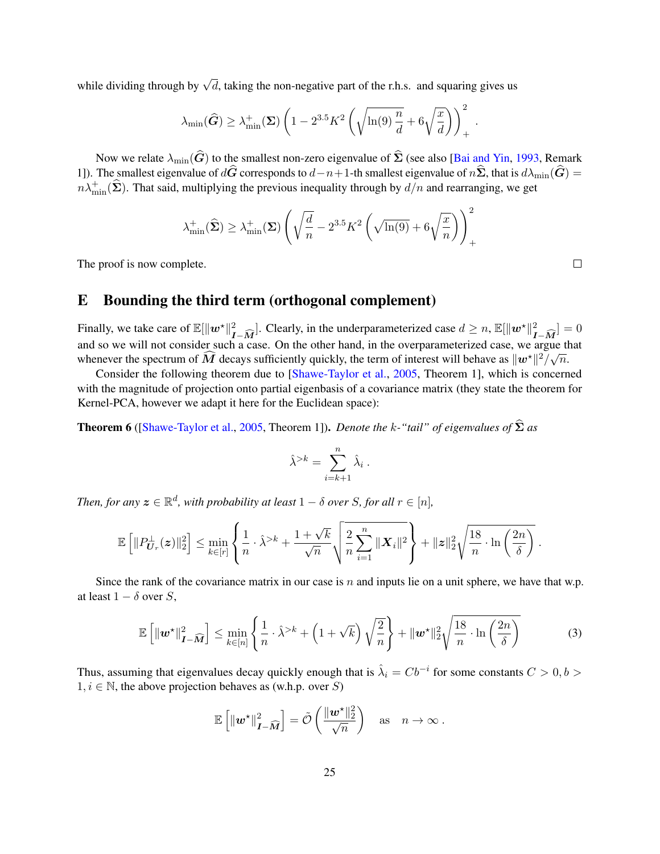while dividing through by  $\sqrt{d}$ , taking the non-negative part of the r.h.s. and squaring gives us

$$
\lambda_{\min}(\widehat{G}) \ge \lambda_{\min}^+(\Sigma) \left(1 - 2^{3.5} K^2 \left(\sqrt{\ln(9) \frac{n}{d}} + 6\sqrt{\frac{x}{d}}\right)\right)_+^2.
$$

Now we relate  $\lambda_{\min}(\widehat{G})$  to the smallest non-zero eigenvalue of  $\widehat{\Sigma}$  (see also [\[Bai and Yin,](#page-13-0) [1993,](#page-13-0) Remark 1]). The smallest eigenvalue of  $d\hat{G}$  corresponds to  $d-n+1$ -th smallest eigenvalue of  $n\hat{\Sigma}$ , that is  $d\lambda_{\min}(\hat{G}) =$  $n\lambda_{\min}^+(\hat{\Sigma})$ . That said, multiplying the previous inequality through by  $d/n$  and rearranging, we get

$$
\lambda_{\min}^+(\widehat{\boldsymbol{\Sigma}}) \ge \lambda_{\min}^+(\boldsymbol{\Sigma}) \left( \sqrt{\frac{d}{n}} - 2^{3.5} K^2 \left( \sqrt{\ln(9)} + 6\sqrt{\frac{x}{n}} \right) \right)_+^2
$$

The proof is now complete.

# <span id="page-24-0"></span>E Bounding the third term (orthogonal complement)

Finally, we take care of  $\mathbb{E}[\|\mathbf{w}^*\|_{I-\widehat{M}}^2]$ . Clearly, in the underparameterized case  $d \ge n$ ,  $\mathbb{E}[\|\mathbf{w}^*\|_{I-\widehat{M}}^2] = 0$ and so we will not consider such a case. On the other hand, in the overparameterized case, we argue that whenever the spectrum of  $\widehat{M}$  decays sufficiently quickly, the term of interest will behave as  $\|w^*\|^2/\sqrt{n}$ .

Consider the following theorem due to [\[Shawe-Taylor et al.,](#page-12-13) [2005,](#page-12-13) Theorem 1], which is concerned with the magnitude of projection onto partial eigenbasis of a covariance matrix (they state the theorem for Kernel-PCA, however we adapt it here for the Euclidean space):

**Theorem 6** ([\[Shawe-Taylor et al.,](#page-12-13) [2005,](#page-12-13) Theorem 1]). *Denote the k-"tail" of eigenvalues of*  $\hat{\Sigma}$  *as* 

<span id="page-24-1"></span>
$$
\hat{\lambda}^{>k} = \sum_{i=k+1}^{n} \hat{\lambda}_i.
$$

*Then, for any*  $\boldsymbol{z} \in \mathbb{R}^d$ , with probability at least  $1 - \delta$  over S, for all  $r \in [n]$ ,

$$
\mathbb{E}\left[\|P_{\boldsymbol{U}_r}^{\perp}(\boldsymbol{z})\|_2^2\right] \leq \min_{k\in[r]}\left\{\frac{1}{n}\cdot\hat{\lambda}^{>k} + \frac{1+\sqrt{k}}{\sqrt{n}}\sqrt{\frac{2}{n}\sum_{i=1}^n\|\boldsymbol{X}_i\|^2}\right\} + \|\boldsymbol{z}\|_2^2\sqrt{\frac{18}{n}\cdot\ln\left(\frac{2n}{\delta}\right)}~.
$$

Since the rank of the covariance matrix in our case is  $n$  and inputs lie on a unit sphere, we have that w.p. at least  $1 - \delta$  over S,

$$
\mathbb{E}\left[\left\|\boldsymbol{w}^{\star}\right\|_{\boldsymbol{I}-\widehat{\boldsymbol{M}}}^{2}\right] \leq \min_{k\in[n]} \left\{\frac{1}{n} \cdot \widehat{\lambda}^{>k} + \left(1+\sqrt{k}\right)\sqrt{\frac{2}{n}}\right\} + \|\boldsymbol{w}^{\star}\|_{2}^{2} \sqrt{\frac{18}{n} \cdot \ln\left(\frac{2n}{\delta}\right)}\tag{3}
$$

Thus, assuming that eigenvalues decay quickly enough that is  $\hat{\lambda}_i = Cb^{-i}$  for some constants  $C > 0, b > 0$  $1, i \in \mathbb{N}$ , the above projection behaves as (w.h.p. over S)

$$
\mathbb{E}\left[\left\|\boldsymbol{w}^{\star}\right\|_{\boldsymbol{I}-\widehat{\boldsymbol{M}}}^{2}\right]=\tilde{\mathcal{O}}\left(\frac{\|\boldsymbol{w}^{\star}\|_{2}^{2}}{\sqrt{n}}\right) \quad \text{as} \quad n \to \infty.
$$

 $\Box$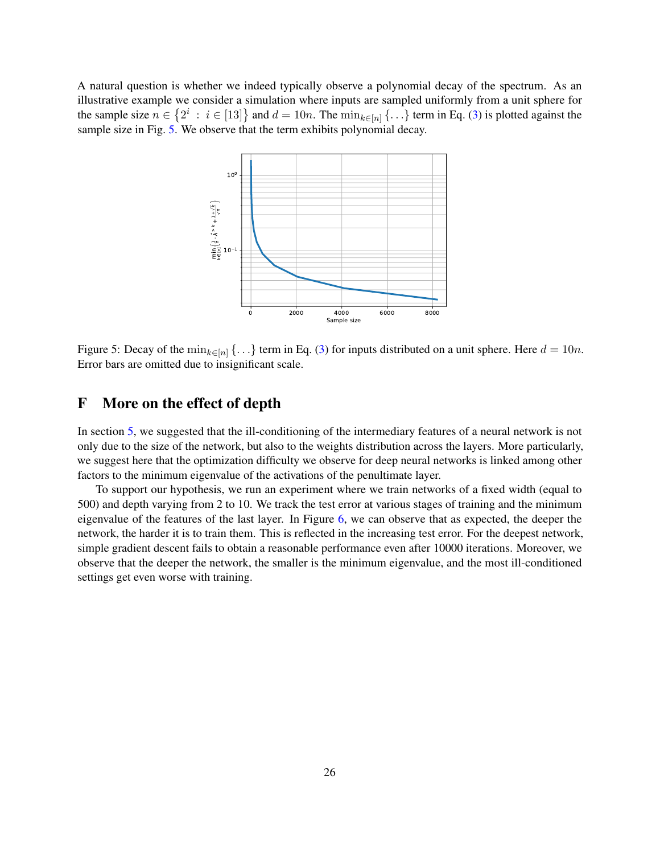A natural question is whether we indeed typically observe a polynomial decay of the spectrum. As an illustrative example we consider a simulation where inputs are sampled uniformly from a unit sphere for the sample size  $n \in \{2^i : i \in [13]\}$  and  $d = 10n$ . The  $\min_{k \in [n]} \{ \ldots \}$  term in Eq. [\(3\)](#page-24-1) is plotted against the sample size in Fig. [5.](#page-25-1) We observe that the term exhibits polynomial decay.

<span id="page-25-1"></span>

Figure 5: Decay of the  $\min_{k \in [n]} \{...\}$  term in Eq. [\(3\)](#page-24-1) for inputs distributed on a unit sphere. Here  $d = 10n$ . Error bars are omitted due to insignificant scale.

# <span id="page-25-0"></span>F More on the effect of depth

In section [5,](#page-8-0) we suggested that the ill-conditioning of the intermediary features of a neural network is not only due to the size of the network, but also to the weights distribution across the layers. More particularly, we suggest here that the optimization difficulty we observe for deep neural networks is linked among other factors to the minimum eigenvalue of the activations of the penultimate layer.

To support our hypothesis, we run an experiment where we train networks of a fixed width (equal to 500) and depth varying from 2 to 10. We track the test error at various stages of training and the minimum eigenvalue of the features of the last layer. In Figure [6,](#page-26-0) we can observe that as expected, the deeper the network, the harder it is to train them. This is reflected in the increasing test error. For the deepest network, simple gradient descent fails to obtain a reasonable performance even after 10000 iterations. Moreover, we observe that the deeper the network, the smaller is the minimum eigenvalue, and the most ill-conditioned settings get even worse with training.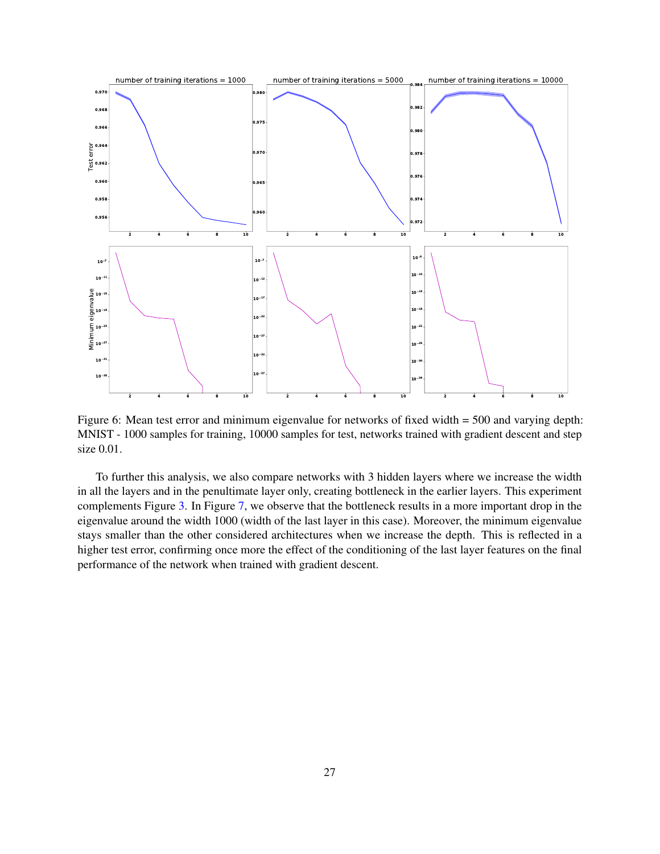

<span id="page-26-0"></span>Figure 6: Mean test error and minimum eigenvalue for networks of fixed width = 500 and varying depth: MNIST - 1000 samples for training, 10000 samples for test, networks trained with gradient descent and step size 0.01.

To further this analysis, we also compare networks with 3 hidden layers where we increase the width in all the layers and in the penultimate layer only, creating bottleneck in the earlier layers. This experiment complements Figure [3.](#page-10-1) In Figure [7,](#page-27-1) we observe that the bottleneck results in a more important drop in the eigenvalue around the width 1000 (width of the last layer in this case). Moreover, the minimum eigenvalue stays smaller than the other considered architectures when we increase the depth. This is reflected in a higher test error, confirming once more the effect of the conditioning of the last layer features on the final performance of the network when trained with gradient descent.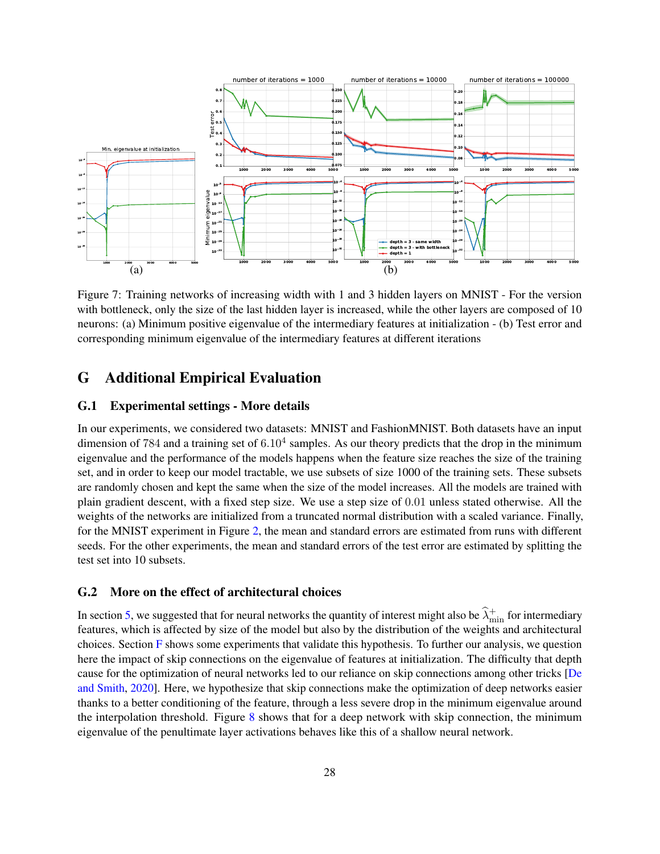

<span id="page-27-1"></span>Figure 7: Training networks of increasing width with 1 and 3 hidden layers on MNIST - For the version with bottleneck, only the size of the last hidden layer is increased, while the other layers are composed of 10 neurons: (a) Minimum positive eigenvalue of the intermediary features at initialization - (b) Test error and corresponding minimum eigenvalue of the intermediary features at different iterations

# <span id="page-27-0"></span>G Additional Empirical Evaluation

### G.1 Experimental settings - More details

In our experiments, we considered two datasets: MNIST and FashionMNIST. Both datasets have an input dimension of 784 and a training set of  $6.10^4$  samples. As our theory predicts that the drop in the minimum eigenvalue and the performance of the models happens when the feature size reaches the size of the training set, and in order to keep our model tractable, we use subsets of size 1000 of the training sets. These subsets are randomly chosen and kept the same when the size of the model increases. All the models are trained with plain gradient descent, with a fixed step size. We use a step size of 0.01 unless stated otherwise. All the weights of the networks are initialized from a truncated normal distribution with a scaled variance. Finally, for the MNIST experiment in Figure [2,](#page-9-0) the mean and standard errors are estimated from runs with different seeds. For the other experiments, the mean and standard errors of the test error are estimated by splitting the test set into 10 subsets.

#### G.2 More on the effect of architectural choices

In section [5,](#page-8-0) we suggested that for neural networks the quantity of interest might also be  $\hat{\lambda}^+_{\text{min}}$  for intermediary features, which is affected by size of the model but also by the distribution of the weights and architectural choices. Section [F](#page-25-0) shows some experiments that validate this hypothesis. To further our analysis, we question here the impact of skip connections on the eigenvalue of features at initialization. The difficulty that depth cause for the optimization of neural networks led to our reliance on skip connections among other tricks [\[De](#page-13-8) [and Smith,](#page-13-8) [2020\]](#page-13-8). Here, we hypothesize that skip connections make the optimization of deep networks easier thanks to a better conditioning of the feature, through a less severe drop in the minimum eigenvalue around the interpolation threshold. Figure [8](#page-28-0) shows that for a deep network with skip connection, the minimum eigenvalue of the penultimate layer activations behaves like this of a shallow neural network.